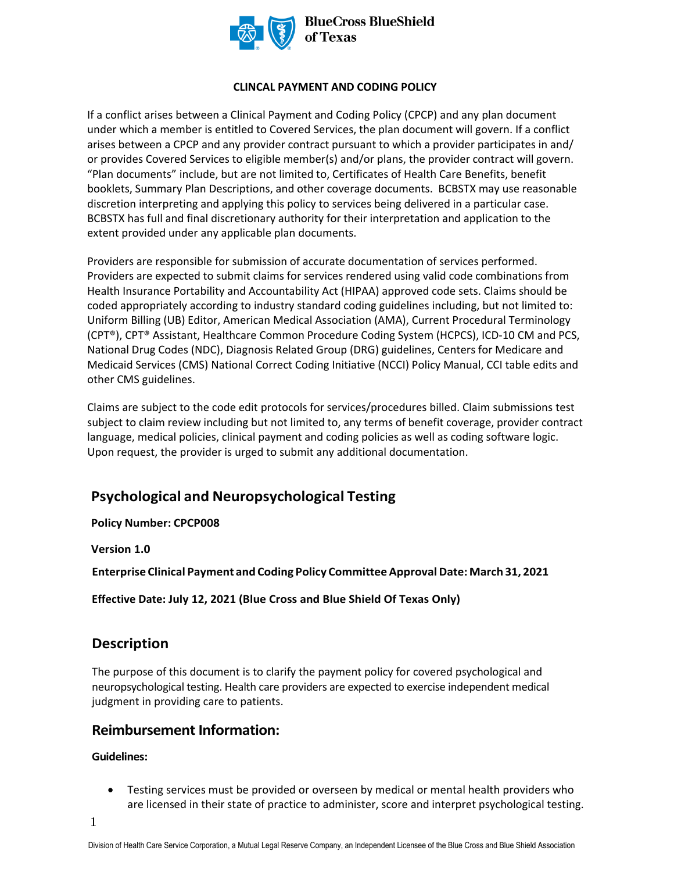

#### **CLINCAL PAYMENT AND CODING POLICY**

If a conflict arises between a Clinical Payment and Coding Policy (CPCP) and any plan document under which a member is entitled to Covered Services, the plan document will govern. If a conflict arises between a CPCP and any provider contract pursuant to which a provider participates in and/ or provides Covered Services to eligible member(s) and/or plans, the provider contract will govern. "Plan documents" include, but are not limited to, Certificates of Health Care Benefits, benefit booklets, Summary Plan Descriptions, and other coverage documents. BCBSTX may use reasonable discretion interpreting and applying this policy to services being delivered in a particular case. BCBSTX has full and final discretionary authority for their interpretation and application to the extent provided under any applicable plan documents.

Providers are responsible for submission of accurate documentation of services performed. Providers are expected to submit claims for services rendered using valid code combinations from Health Insurance Portability and Accountability Act (HIPAA) approved code sets. Claims should be coded appropriately according to industry standard coding guidelines including, but not limited to: Uniform Billing (UB) Editor, American Medical Association (AMA), Current Procedural Terminology (CPT®), CPT® Assistant, Healthcare Common Procedure Coding System (HCPCS), ICD-10 CM and PCS, National Drug Codes (NDC), Diagnosis Related Group (DRG) guidelines, Centers for Medicare and Medicaid Services (CMS) National Correct Coding Initiative (NCCI) Policy Manual, CCI table edits and other CMS guidelines.

Claims are subject to the code edit protocols for services/procedures billed. Claim submissions test subject to claim review including but not limited to, any terms of benefit coverage, provider contract language, medical policies, clinical payment and coding policies as well as coding software logic. Upon request, the provider is urged to submit any additional documentation.

#### **Psychological and Neuropsychological Testing**

**Policy Number: CPCP008** 

**Version 1.0** 

 **Enterprise Clinical Payment and Coding Policy Committee Approval Date: March 31, 2021** 

**Effective Date: July 12, 2021 (Blue Cross and Blue Shield Of Texas Only)**

#### **Description**

The purpose of this document is to clarify the payment policy for covered psychological and neuropsychological testing. Health care providers are expected to exercise independent medical judgment in providing care to patients.

#### **Reimbursement Information:**

#### **Guidelines:**

• Testing services must be provided or overseen by medical or mental health providers who are licensed in their state of practice to administer, score and interpret psychological testing.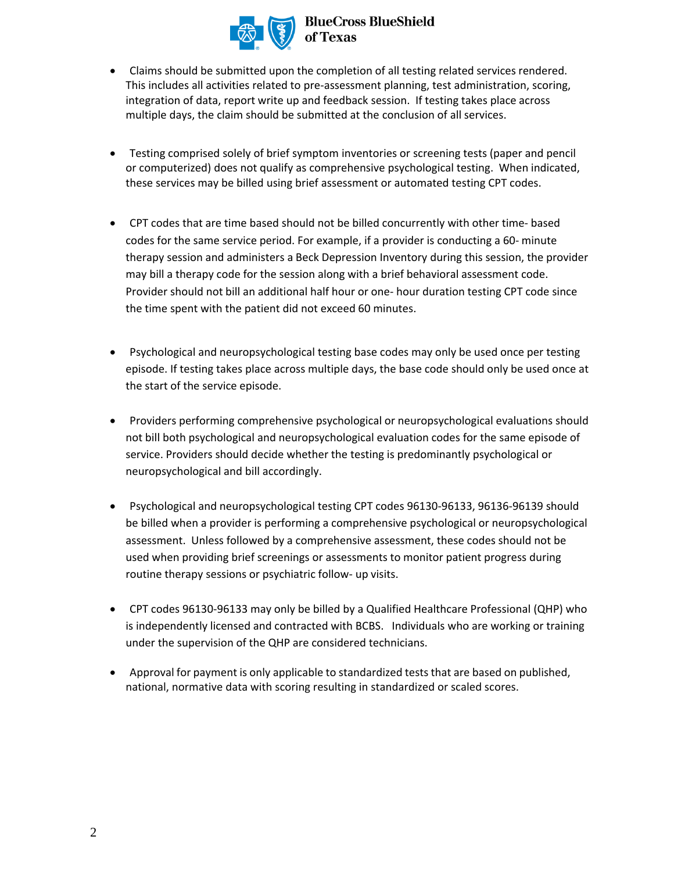

# **BlueCross BlueShield**

- Claims should be submitted upon the completion of all testing related services rendered. This includes all activities related to pre-assessment planning, test administration, scoring, integration of data, report write up and feedback session. If testing takes place across multiple days, the claim should be submitted at the conclusion of all services.
- Testing comprised solely of brief symptom inventories or screening tests (paper and pencil or computerized) does not qualify as comprehensive psychological testing. When indicated, these services may be billed using brief assessment or automated testing CPT codes.
- CPT codes that are time based should not be billed concurrently with other time- based codes for the same service period. For example, if a provider is conducting a 60- minute therapy session and administers a Beck Depression Inventory during this session, the provider may bill a therapy code for the session along with a brief behavioral assessment code. Provider should not bill an additional half hour or one- hour duration testing CPT code since the time spent with the patient did not exceed 60 minutes.
- Psychological and neuropsychological testing base codes may only be used once per testing episode. If testing takes place across multiple days, the base code should only be used once at the start of the service episode.
- Providers performing comprehensive psychological or neuropsychological evaluations should not bill both psychological and neuropsychological evaluation codes for the same episode of service. Providers should decide whether the testing is predominantly psychological or neuropsychological and bill accordingly.
- Psychological and neuropsychological testing CPT codes 96130-96133, 96136-96139 should be billed when a provider is performing a comprehensive psychological or neuropsychological assessment. Unless followed by a comprehensive assessment, these codes should not be used when providing brief screenings or assessments to monitor patient progress during routine therapy sessions or psychiatric follow- up visits.
- CPT codes 96130-96133 may only be billed by a Qualified Healthcare Professional (QHP) who is independently licensed and contracted with BCBS. Individuals who are working or training under the supervision of the QHP are considered technicians.
- Approval for payment is only applicable to standardized tests that are based on published, national, normative data with scoring resulting in standardized or scaled scores.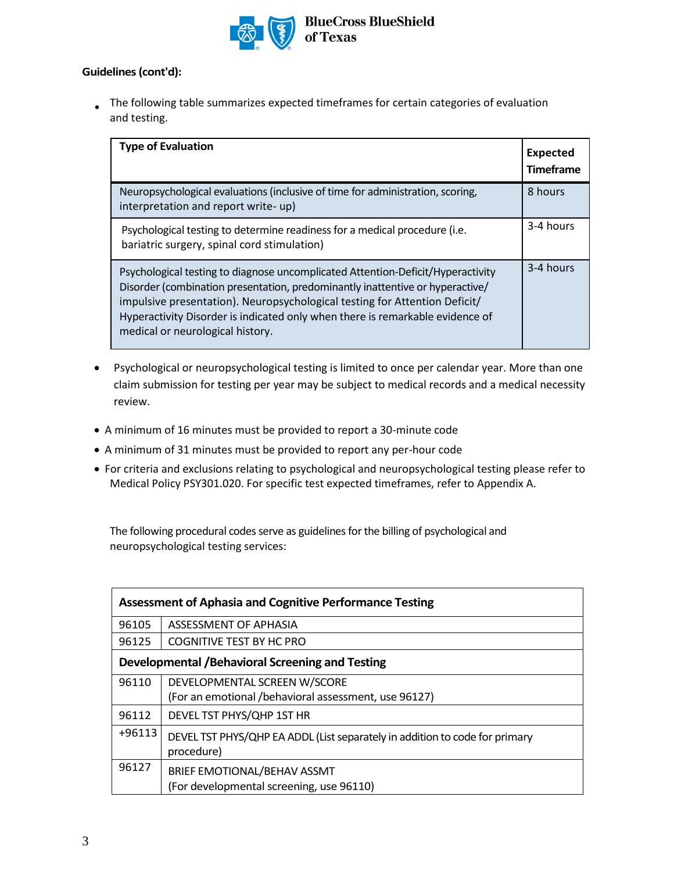

#### **Guidelines (cont'd):**

The following table summarizes expected timeframes for certain categories of evaluation • and testing.

| <b>Type of Evaluation</b>                                                                                                                                                                                                                                                                                                                                           | <b>Expected</b><br><b>Timeframe</b> |
|---------------------------------------------------------------------------------------------------------------------------------------------------------------------------------------------------------------------------------------------------------------------------------------------------------------------------------------------------------------------|-------------------------------------|
| Neuropsychological evaluations (inclusive of time for administration, scoring,<br>interpretation and report write- up)                                                                                                                                                                                                                                              | 8 hours                             |
| Psychological testing to determine readiness for a medical procedure (i.e.<br>bariatric surgery, spinal cord stimulation)                                                                                                                                                                                                                                           | 3-4 hours                           |
| Psychological testing to diagnose uncomplicated Attention-Deficit/Hyperactivity<br>Disorder (combination presentation, predominantly inattentive or hyperactive/<br>impulsive presentation). Neuropsychological testing for Attention Deficit/<br>Hyperactivity Disorder is indicated only when there is remarkable evidence of<br>medical or neurological history. | 3-4 hours                           |

- Psychological or neuropsychological testing is limited to once per calendar year. More than one claim submission for testing per year may be subject to medical records and a medical necessity review.
- A minimum of 16 minutes must be provided to report a 30-minute code
- A minimum of 31 minutes must be provided to report any per-hour code
- For criteria and exclusions relating to psychological and neuropsychological testing please refer to Medical Policy PSY301.020. For specific test expected timeframes, refer to Appendix A.

The following procedural codes serve as guidelines for the billing of psychological and neuropsychological testing services:

|          | <b>Assessment of Aphasia and Cognitive Performance Testing</b>              |
|----------|-----------------------------------------------------------------------------|
| 96105    | ASSESSMENT OF APHASIA                                                       |
| 96125    | COGNITIVE TEST BY HC PRO                                                    |
|          | Developmental / Behavioral Screening and Testing                            |
| 96110    | DEVELOPMENTAL SCREEN W/SCORE                                                |
|          | (For an emotional /behavioral assessment, use 96127)                        |
| 96112    | DEVEL TST PHYS/QHP 1ST HR                                                   |
| $+96113$ | DEVEL TST PHYS/QHP EA ADDL (List separately in addition to code for primary |
|          | procedure)                                                                  |
| 96127    | BRIEF EMOTIONAL/BEHAV ASSMT                                                 |
|          | (For developmental screening, use 96110)                                    |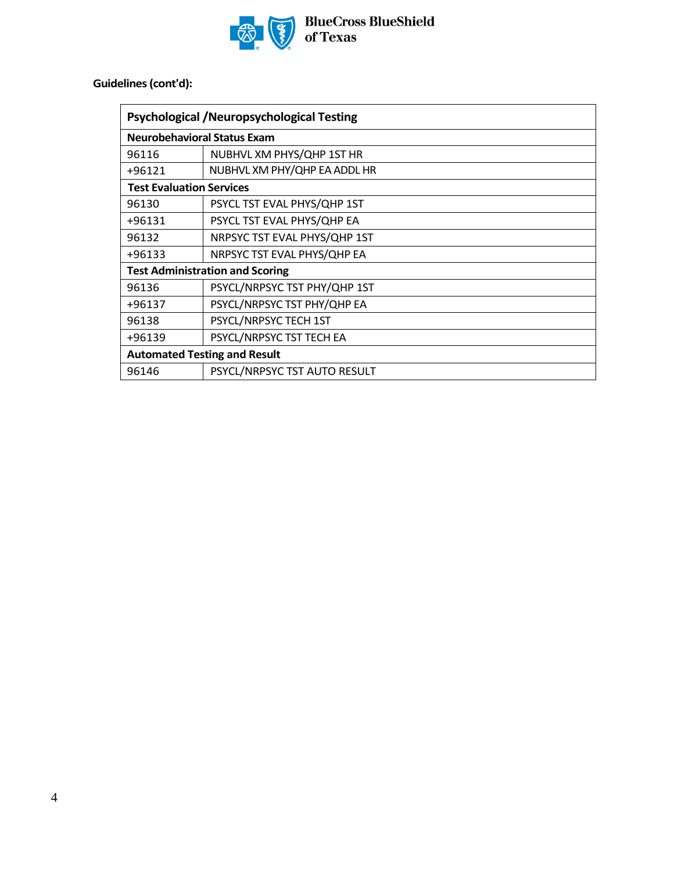

BlueCross BlueShield<br>of Texas

**Guidelines (cont'd):**

|                                     | <b>Psychological /Neuropsychological Testing</b> |  |  |
|-------------------------------------|--------------------------------------------------|--|--|
| <b>Neurobehavioral Status Exam</b>  |                                                  |  |  |
| 96116                               | NUBHVL XM PHYS/QHP 1ST HR                        |  |  |
| +96121                              | NUBHVL XM PHY/QHP EA ADDL HR                     |  |  |
| <b>Test Evaluation Services</b>     |                                                  |  |  |
| 96130                               | PSYCL TST EVAL PHYS/QHP 1ST                      |  |  |
| +96131                              | PSYCL TST EVAL PHYS/QHP EA                       |  |  |
| 96132                               | NRPSYC TST EVAL PHYS/QHP 1ST                     |  |  |
| +96133                              | NRPSYC TST EVAL PHYS/QHP EA                      |  |  |
|                                     | <b>Test Administration and Scoring</b>           |  |  |
| 96136                               | PSYCL/NRPSYC TST PHY/QHP 1ST                     |  |  |
| +96137                              | PSYCL/NRPSYC TST PHY/QHP EA                      |  |  |
| 96138                               | PSYCL/NRPSYC TECH 1ST                            |  |  |
| +96139                              | PSYCL/NRPSYC TST TECH EA                         |  |  |
| <b>Automated Testing and Result</b> |                                                  |  |  |
| 96146                               | PSYCL/NRPSYC TST AUTO RESULT                     |  |  |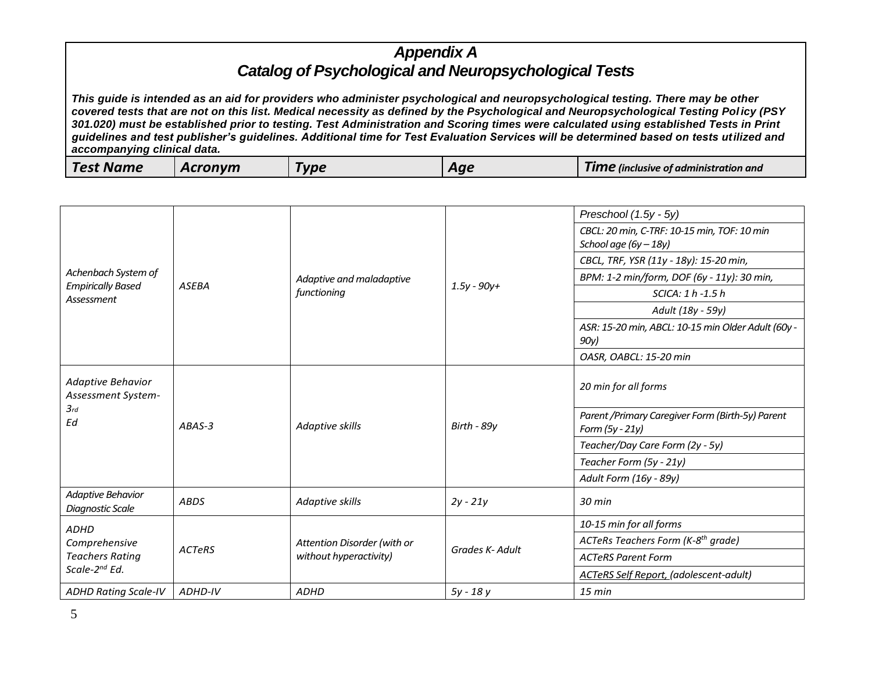| <b>Test Name</b> | cronvm | <b>Tune</b><br>$\sim$ | Aae | <b>TIME</b> linclusive of administration and |
|------------------|--------|-----------------------|-----|----------------------------------------------|
|                  |        |                       |     |                                              |

|                                                                      |               |                                                       |                 | Preschool (1.5y - 5y)                                                |
|----------------------------------------------------------------------|---------------|-------------------------------------------------------|-----------------|----------------------------------------------------------------------|
|                                                                      |               |                                                       |                 | CBCL: 20 min, C-TRF: 10-15 min, TOF: 10 min                          |
|                                                                      |               |                                                       |                 | School age $(6y - 18y)$                                              |
|                                                                      |               |                                                       |                 | CBCL, TRF, YSR (11y - 18y): 15-20 min,                               |
| Achenbach System of<br><b>Empirically Based</b>                      | <b>ASEBA</b>  | Adaptive and maladaptive                              | $1.5y - 90y +$  | BPM: 1-2 min/form, DOF (6y - 11y): 30 min,                           |
| Assessment                                                           |               | functioning                                           |                 | SCICA: 1 h -1.5 h                                                    |
|                                                                      |               |                                                       |                 | Adult (18y - 59y)                                                    |
|                                                                      |               |                                                       |                 | ASR: 15-20 min, ABCL: 10-15 min Older Adult (60y -                   |
|                                                                      |               |                                                       |                 | 90y)                                                                 |
|                                                                      |               |                                                       |                 | OASR, OABCL: 15-20 min                                               |
| Adaptive Behavior<br>Assessment System-                              |               |                                                       |                 | 20 min for all forms                                                 |
| 3rd<br>Ed.                                                           | ABAS-3        | Adaptive skills                                       | Birth - 89y     | Parent / Primary Caregiver Form (Birth-5y) Parent<br>Form (5y - 21y) |
|                                                                      |               |                                                       |                 | Teacher/Day Care Form (2y - 5y)                                      |
|                                                                      |               |                                                       |                 | Teacher Form (5y - 21y)                                              |
|                                                                      |               |                                                       |                 | Adult Form (16y - 89y)                                               |
| Adaptive Behavior<br><b>Diagnostic Scale</b>                         | <b>ABDS</b>   | Adaptive skills                                       | $2y - 21y$      | $30$ min                                                             |
| <b>ADHD</b>                                                          |               |                                                       |                 | 10-15 min for all forms                                              |
| Comprehensive<br><b>Teachers Rating</b><br>Scale-2 <sup>nd</sup> Ed. | <b>ACTeRS</b> | Attention Disorder (with or<br>without hyperactivity) | Grades K- Adult | ACTeRs Teachers Form (K-8 <sup>th</sup> grade)                       |
|                                                                      |               |                                                       |                 | <b>ACTeRS Parent Form</b>                                            |
|                                                                      |               |                                                       |                 | <b>ACTeRS Self Report, (adolescent-adult)</b>                        |
| <b>ADHD Rating Scale-IV</b>                                          | ADHD-IV       | <b>ADHD</b>                                           | $5y - 18y$      | $15$ min                                                             |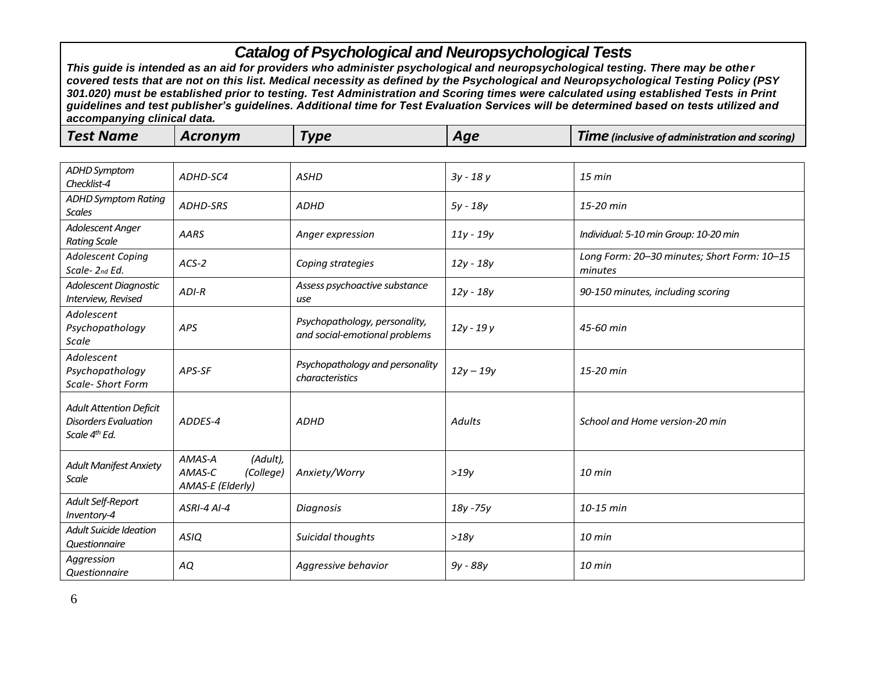|--|

| <b>ADHD Symptom</b><br>Checklist-4                                                         | ADHD-SC4                                                      | <b>ASHD</b>                                                    | $3y - 18y$    | 15 min                                                 |
|--------------------------------------------------------------------------------------------|---------------------------------------------------------------|----------------------------------------------------------------|---------------|--------------------------------------------------------|
| <b>ADHD Symptom Rating</b><br><b>Scales</b>                                                | ADHD-SRS                                                      | <b>ADHD</b>                                                    | 5y - 18y      | 15-20 min                                              |
| Adolescent Anger<br><b>Rating Scale</b>                                                    | <b>AARS</b>                                                   | Anger expression                                               | $11y - 19y$   | Individual: 5-10 min Group: 10-20 min                  |
| <b>Adolescent Coping</b><br>Scale-2nd Ed.                                                  | $ACS-2$                                                       | Coping strategies                                              | 12y - 18y     | Long Form: 20-30 minutes; Short Form: 10-15<br>minutes |
| Adolescent Diagnostic<br>Interview, Revised                                                | $ADI-R$                                                       | Assess psychoactive substance<br>use                           | $12y - 18y$   | 90-150 minutes, including scoring                      |
| Adolescent<br>Psychopathology<br>Scale                                                     | <b>APS</b>                                                    | Psychopathology, personality,<br>and social-emotional problems | $12y - 19y$   | 45-60 min                                              |
| Adolescent<br>Psychopathology<br><b>Scale- Short Form</b>                                  | APS-SF                                                        | Psychopathology and personality<br>characteristics             | $12y - 19y$   | 15-20 min                                              |
| <b>Adult Attention Deficit</b><br><b>Disorders Evaluation</b><br>Scale 4 <sup>th</sup> Ed. | ADDES-4                                                       | <b>ADHD</b>                                                    | <b>Adults</b> | School and Home version-20 min                         |
| <b>Adult Manifest Anxiety</b><br><b>Scale</b>                                              | (Adult),<br>AMAS-A<br>AMAS-C<br>(College)<br>AMAS-E (Elderly) | Anxiety/Worry                                                  | >19y          | $10$ min                                               |
| Adult Self-Report<br>Inventory-4                                                           | <b>ASRI-4 AI-4</b>                                            | Diagnosis                                                      | 18y - 75y     | $10-15$ min                                            |
| <b>Adult Suicide Ideation</b><br>Questionnaire                                             | <b>ASIQ</b>                                                   | Suicidal thoughts                                              | >18y          | $10$ min                                               |
| Aggression<br>Questionnaire                                                                | AQ                                                            | Aggressive behavior                                            | 9y - 88y      | $10 \text{ min}$                                       |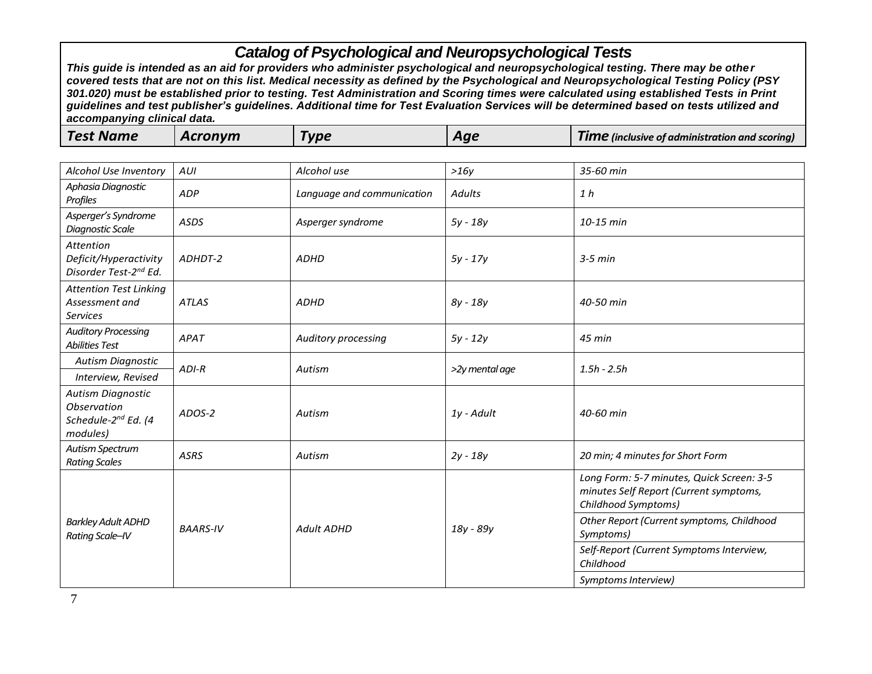| <b>Test Name</b><br><b>Acronym</b><br>Гуре<br>Aqe | <b>TIME</b> (inclusive of administration and scoring) |
|---------------------------------------------------|-------------------------------------------------------|
|---------------------------------------------------|-------------------------------------------------------|

| Alcohol Use Inventory                                                                         | AUI             | Alcohol use                | >16y           | 35-60 min                                                                                                  |
|-----------------------------------------------------------------------------------------------|-----------------|----------------------------|----------------|------------------------------------------------------------------------------------------------------------|
| Aphasia Diagnostic<br>Profiles                                                                | ADP             | Language and communication | <b>Adults</b>  | 1 <sub>h</sub>                                                                                             |
| Asperger's Syndrome<br><b>Diagnostic Scale</b>                                                | <b>ASDS</b>     | Asperger syndrome          | 5y - 18y       | 10-15 min                                                                                                  |
| Attention<br>Deficit/Hyperactivity<br>Disorder Test-2 <sup>nd</sup> Ed.                       | ADHDT-2         | <b>ADHD</b>                | $5y - 17y$     | $3-5$ min                                                                                                  |
| <b>Attention Test Linking</b><br>Assessment and<br><b>Services</b>                            | <b>ATLAS</b>    | <b>ADHD</b>                | $8y - 18y$     | 40-50 min                                                                                                  |
| <b>Auditory Processing</b><br><b>Abilities Test</b>                                           | APAT            | Auditory processing        | $5y - 12y$     | 45 min                                                                                                     |
| <b>Autism Diagnostic</b>                                                                      | $ADI-R$         | Autism                     | >2y mental age | $1.5h - 2.5h$                                                                                              |
| Interview, Revised                                                                            |                 |                            |                |                                                                                                            |
| <b>Autism Diagnostic</b><br><b>Observation</b><br>Schedule-2 <sup>nd</sup> Ed. (4<br>modules) | ADOS-2          | Autism                     | 1y - Adult     | 40-60 min                                                                                                  |
| Autism Spectrum<br><b>Rating Scales</b>                                                       | <b>ASRS</b>     | Autism                     | $2y - 18y$     | 20 min; 4 minutes for Short Form                                                                           |
|                                                                                               |                 |                            |                | Long Form: 5-7 minutes, Quick Screen: 3-5<br>minutes Self Report (Current symptoms,<br>Childhood Symptoms) |
| <b>Barkley Adult ADHD</b><br>Rating Scale-IV                                                  | <b>BAARS-IV</b> | <b>Adult ADHD</b>          | 18y - 89y      | Other Report (Current symptoms, Childhood<br>Symptoms)                                                     |
|                                                                                               |                 |                            |                | Self-Report (Current Symptoms Interview,<br>Childhood                                                      |
|                                                                                               |                 |                            |                | Symptoms Interview)                                                                                        |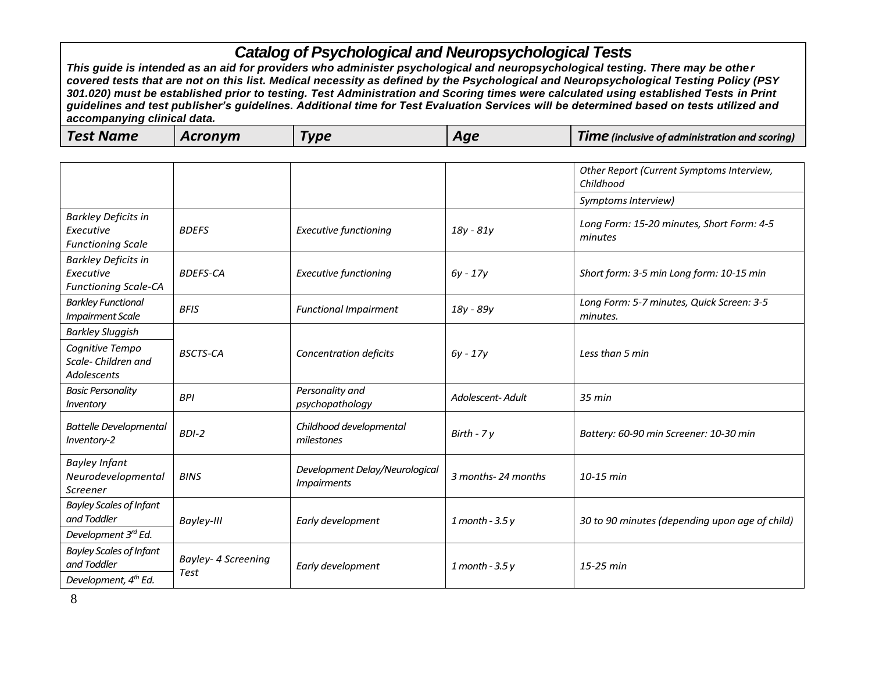|--|

|                                                                        |                                    |                                                             |                    | Other Report (Current Symptoms Interview,<br>Childhood |
|------------------------------------------------------------------------|------------------------------------|-------------------------------------------------------------|--------------------|--------------------------------------------------------|
|                                                                        |                                    |                                                             |                    | Symptoms Interview)                                    |
| <b>Barkley Deficits in</b><br>Executive<br><b>Functioning Scale</b>    | <b>BDEFS</b>                       | <b>Executive functioning</b>                                | $18y - 81y$        | Long Form: 15-20 minutes, Short Form: 4-5<br>minutes   |
| <b>Barkley Deficits in</b><br>Executive<br><b>Functioning Scale-CA</b> | <b>BDEFS-CA</b>                    | <b>Executive functioning</b>                                | $6y - 17y$         | Short form: 3-5 min Long form: 10-15 min               |
| <b>Barkley Functional</b><br><b>Impairment Scale</b>                   | <b>BFIS</b>                        | <b>Functional Impairment</b>                                | 18y - 89y          | Long Form: 5-7 minutes, Quick Screen: 3-5<br>minutes.  |
| <b>Barkley Sluggish</b>                                                |                                    |                                                             |                    |                                                        |
| Cognitive Tempo<br>Scale-Children and<br><b>Adolescents</b>            | <b>BSCTS-CA</b>                    | Concentration deficits                                      | $6y - 17y$         | Less than 5 min                                        |
| <b>Basic Personality</b><br>Inventory                                  | <b>BPI</b>                         | Personality and<br>psychopathology                          | Adolescent- Adult  | 35 min                                                 |
| <b>Battelle Developmental</b><br>Inventory-2                           | $BDI-2$                            | Childhood developmental<br>milestones                       | Birth - $7y$       | Battery: 60-90 min Screener: 10-30 min                 |
| <b>Bayley Infant</b><br>Neurodevelopmental<br>Screener                 | <b>BINS</b>                        | Development Delay/Neurological<br><i><b>Impairments</b></i> | 3 months-24 months | 10-15 min                                              |
| <b>Bayley Scales of Infant</b><br>and Toddler                          | Bayley-III                         | Early development                                           | $1$ month - 3.5 y  | 30 to 90 minutes (depending upon age of child)         |
| Development 3rd Ed.                                                    |                                    |                                                             |                    |                                                        |
| <b>Bayley Scales of Infant</b><br>and Toddler                          | Bayley- 4 Screening<br><b>Test</b> | Early development                                           | $1$ month - 3.5 y  | 15-25 min                                              |
| Development, 4 <sup>th</sup> Ed.                                       |                                    |                                                             |                    |                                                        |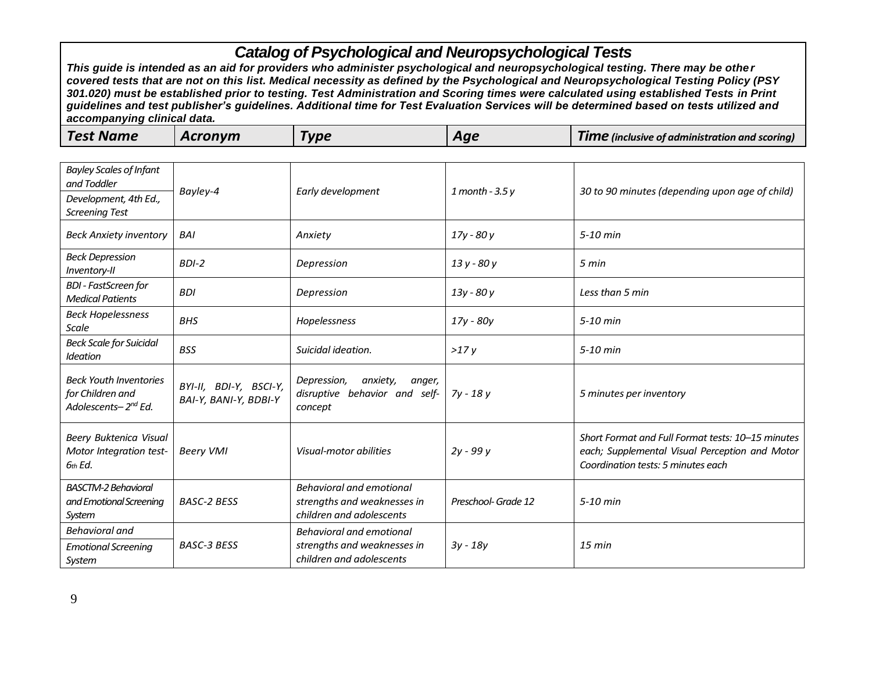| <b>Bayley Scales of Infant</b><br>and Toddler                                        | Bayley-4                                        | Early development                                                                          | $1$ month - 3.5 y   | 30 to 90 minutes (depending upon age of child)                                                                                            |
|--------------------------------------------------------------------------------------|-------------------------------------------------|--------------------------------------------------------------------------------------------|---------------------|-------------------------------------------------------------------------------------------------------------------------------------------|
| Development, 4th Ed.,<br><b>Screening Test</b>                                       |                                                 |                                                                                            |                     |                                                                                                                                           |
| <b>Beck Anxiety inventory</b>                                                        | <b>BAI</b>                                      | Anxiety                                                                                    | $17y - 80y$         | 5-10 min                                                                                                                                  |
| <b>Beck Depression</b><br>Inventory-II                                               | $BDI-2$                                         | Depression                                                                                 | 13 y - 80 y         | 5 min                                                                                                                                     |
| <b>BDI</b> - FastScreen for<br><b>Medical Patients</b>                               | <b>BDI</b>                                      | Depression                                                                                 | 13y - 80 y          | Less than 5 min                                                                                                                           |
| <b>Beck Hopelessness</b><br>Scale                                                    | <b>BHS</b>                                      | Hopelessness                                                                               | 17y - 80y           | $5-10$ min                                                                                                                                |
| <b>Beck Scale for Suicidal</b><br><b>Ideation</b>                                    | <b>BSS</b>                                      | Suicidal ideation.                                                                         | >17y                | 5-10 min                                                                                                                                  |
| <b>Beck Youth Inventories</b><br>for Children and<br>Adolescents-2 <sup>nd</sup> Ed. | BYI-II, BDI-Y, BSCI-Y,<br>BAI-Y, BANI-Y, BDBI-Y | Depression,<br>anxiety,<br>anger,<br>disruptive behavior and self-<br>concept              | 7y - 18 y           | 5 minutes per inventory                                                                                                                   |
| Beery Buktenica Visual<br>Motor Integration test-<br>6th Ed.                         | <b>Beery VMI</b>                                | Visual-motor abilities                                                                     | 2y - 99 y           | Short Format and Full Format tests: 10-15 minutes<br>each; Supplemental Visual Perception and Motor<br>Coordination tests: 5 minutes each |
| <b>BASCTM-2 Behavioral</b><br>and Emotional Screening<br>System                      | <b>BASC-2 BESS</b>                              | Behavioral and emotional<br>strengths and weaknesses in<br>children and adolescents        | Preschool- Grade 12 | 5-10 min                                                                                                                                  |
| Behavioral and<br><b>Emotional Screening</b><br>System                               | <b>BASC-3 BESS</b>                              | <b>Behavioral and emotional</b><br>strengths and weaknesses in<br>children and adolescents | $3y - 18y$          | $15 \text{ min}$                                                                                                                          |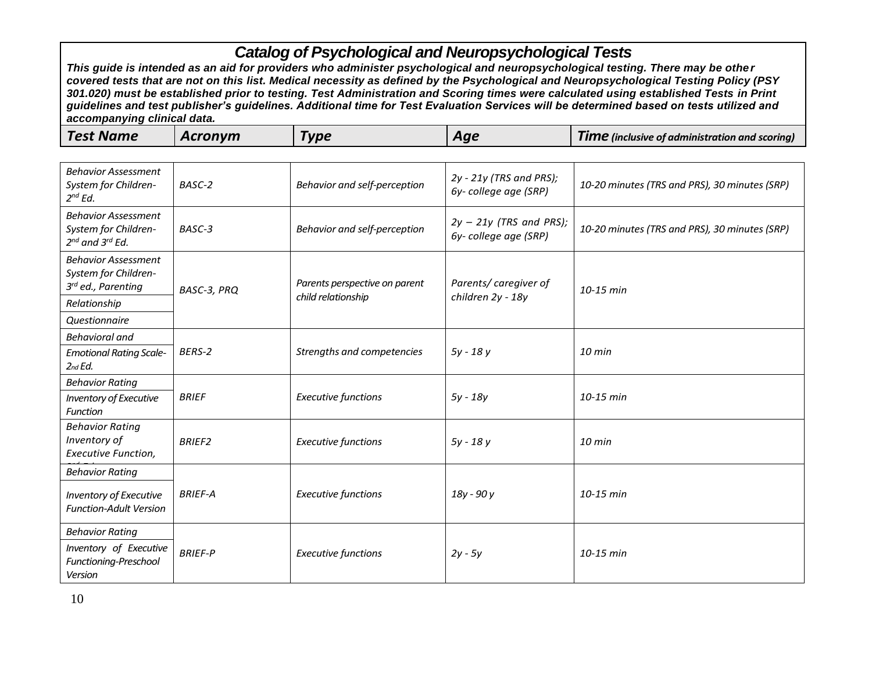| <b>Test Name</b><br>Acronym<br><b>Vpe</b> | Aae | <b>TIME</b> (inclusive of administration and scoring) |
|-------------------------------------------|-----|-------------------------------------------------------|
|-------------------------------------------|-----|-------------------------------------------------------|

| <b>Behavior Assessment</b><br>System for Children-<br>$2^{nd}$ Ed.              | BASC-2         | Behavior and self-perception                        | 2y - 21y (TRS and PRS);<br>6y-college age (SRP)   | 10-20 minutes (TRS and PRS), 30 minutes (SRP) |
|---------------------------------------------------------------------------------|----------------|-----------------------------------------------------|---------------------------------------------------|-----------------------------------------------|
| <b>Behavior Assessment</b><br>System for Children-<br>$2^{nd}$ and $3^{rd}$ Ed. | BASC-3         | Behavior and self-perception                        | $2y - 21y$ (TRS and PRS);<br>6y-college age (SRP) | 10-20 minutes (TRS and PRS), 30 minutes (SRP) |
| <b>Behavior Assessment</b><br>System for Children-<br>3rd ed., Parenting        | BASC-3, PRQ    | Parents perspective on parent<br>child relationship | Parents/caregiver of<br>children 2y - 18y         | 10-15 min                                     |
| Relationship                                                                    |                |                                                     |                                                   |                                               |
| <b>Questionnaire</b>                                                            |                |                                                     |                                                   |                                               |
| <b>Behavioral and</b>                                                           |                |                                                     |                                                   |                                               |
| <b>Emotional Rating Scale-</b><br>$2$ nd E $d$ .                                | BERS-2         | Strengths and competencies                          | 5y - 18y                                          | $10$ min                                      |
| <b>Behavior Rating</b>                                                          |                |                                                     |                                                   |                                               |
| Inventory of Executive<br><b>Function</b>                                       | <b>BRIEF</b>   | <b>Executive functions</b>                          | $5y - 18y$                                        | 10-15 min                                     |
| <b>Behavior Rating</b><br>Inventory of<br><b>Executive Function,</b>            | <b>BRIEF2</b>  | <b>Executive functions</b>                          | 5y - 18y                                          | $10$ min                                      |
| <b>Behavior Rating</b>                                                          |                |                                                     |                                                   |                                               |
| <b>Inventory of Executive</b><br><b>Function-Adult Version</b>                  | <b>BRIEF-A</b> | <b>Executive functions</b>                          | 18y - 90 y                                        | $10-15$ min                                   |
| <b>Behavior Rating</b>                                                          |                |                                                     |                                                   |                                               |
| Inventory of Executive<br>Functioning-Preschool<br>Version                      | <b>BRIEF-P</b> | <b>Executive functions</b>                          | $2y - 5y$                                         | 10-15 min                                     |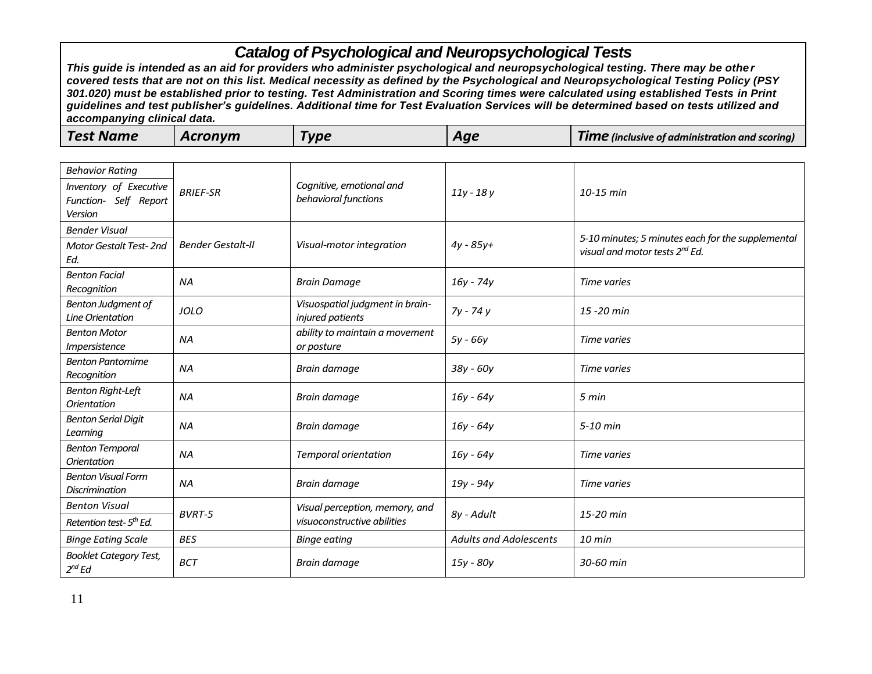| <b>Test Name</b> | Acronym | <b>Type</b> | Aae | Tıme<br><b>2</b> (inclusive of administration and scoring) |
|------------------|---------|-------------|-----|------------------------------------------------------------|
|------------------|---------|-------------|-----|------------------------------------------------------------|

| <b>Behavior Rating</b>                                     |                          |                                                     |                               |                                                                                                 |
|------------------------------------------------------------|--------------------------|-----------------------------------------------------|-------------------------------|-------------------------------------------------------------------------------------------------|
| Inventory of Executive<br>Function- Self Report<br>Version | <b>BRIEF-SR</b>          | Cognitive, emotional and<br>behavioral functions    | $11y - 18y$                   | 10-15 min                                                                                       |
| <b>Bender Visual</b>                                       |                          |                                                     |                               |                                                                                                 |
| <b>Motor Gestalt Test-2nd</b><br>Ed.                       | <b>Bender Gestalt-II</b> | Visual-motor integration                            | $4y - 85y +$                  | 5-10 minutes; 5 minutes each for the supplemental<br>visual and motor tests 2 <sup>nd</sup> Ed. |
| <b>Benton Facial</b><br>Recognition                        | <b>NA</b>                | <b>Brain Damage</b>                                 | 16y - 74y                     | Time varies                                                                                     |
| Benton Judgment of<br>Line Orientation                     | <b>JOLO</b>              | Visuospatial judgment in brain-<br>injured patients | 7y - 74 y                     | 15 - 20 min                                                                                     |
| <b>Benton Motor</b><br>Impersistence                       | <b>NA</b>                | ability to maintain a movement<br>or posture        | 5y - 66y                      | Time varies                                                                                     |
| <b>Benton Pantomime</b><br>Recognition                     | <b>NA</b>                | Brain damage                                        | 38y - 60y                     | Time varies                                                                                     |
| <b>Benton Right-Left</b><br><b>Orientation</b>             | ΝA                       | Brain damage                                        | $16y - 64y$                   | 5 min                                                                                           |
| <b>Benton Serial Digit</b><br>Learning                     | <b>NA</b>                | Brain damage                                        | $16y - 64y$                   | 5-10 min                                                                                        |
| <b>Benton Temporal</b><br><b>Orientation</b>               | <b>NA</b>                | <b>Temporal orientation</b>                         | $16y - 64y$                   | Time varies                                                                                     |
| <b>Benton Visual Form</b><br><b>Discrimination</b>         | <b>NA</b>                | Brain damage                                        | 19y - 94y                     | Time varies                                                                                     |
| <b>Benton Visual</b>                                       | BVRT-5                   | Visual perception, memory, and                      |                               | 15-20 min                                                                                       |
| Retention test-5 <sup>th</sup> Ed.                         |                          | visuoconstructive abilities                         | 8y - Adult                    |                                                                                                 |
| <b>Binge Eating Scale</b>                                  | <b>BES</b>               | <b>Binge eating</b>                                 | <b>Adults and Adolescents</b> | 10 min                                                                                          |
| <b>Booklet Category Test,</b><br>$2^{nd}$ Ed               | <b>BCT</b>               | Brain damage                                        | 15y - 80y                     | 30-60 min                                                                                       |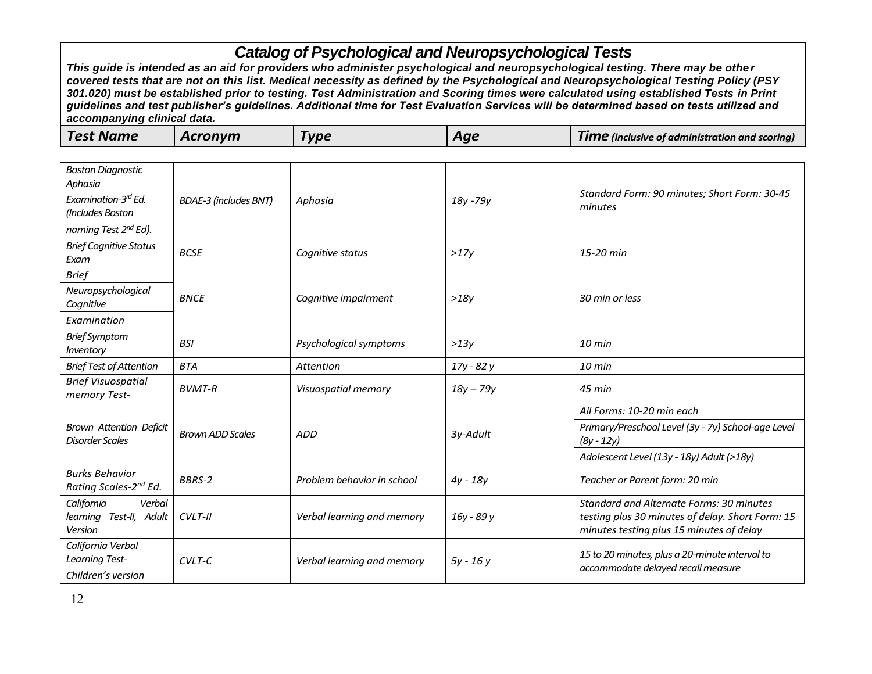| <b>Test Name</b><br>Acronym<br>$V$ pe<br><b>TIME</b> (inclusive of administration and scoring)<br>Aqe |
|-------------------------------------------------------------------------------------------------------|
|-------------------------------------------------------------------------------------------------------|

| <b>Boston Diagnostic</b><br>Aphasia<br>Examination-3rd Ed.<br>(Includes Boston | <b>BDAE-3 (includes BNT)</b> | Aphasia                    | 18y - 79y   | Standard Form: 90 minutes; Short Form: 30-45<br>minutes                                                                                         |
|--------------------------------------------------------------------------------|------------------------------|----------------------------|-------------|-------------------------------------------------------------------------------------------------------------------------------------------------|
| naming Test 2 <sup>nd</sup> Ed).<br><b>Brief Cognitive Status</b>              |                              |                            |             |                                                                                                                                                 |
| Exam                                                                           | <b>BCSE</b>                  | Cognitive status           | >17v        | 15-20 min                                                                                                                                       |
| <b>Brief</b>                                                                   |                              |                            |             |                                                                                                                                                 |
| Neuropsychological<br>Cognitive                                                | <b>BNCE</b>                  | Cognitive impairment       | >18v        | 30 min or less                                                                                                                                  |
| Examination                                                                    |                              |                            |             |                                                                                                                                                 |
| <b>Brief Symptom</b><br>Inventory                                              | <b>BSI</b>                   | Psychological symptoms     | >13y        | 10 min                                                                                                                                          |
| <b>Brief Test of Attention</b>                                                 | <b>BTA</b>                   | Attention                  | 17y - 82 y  | $10 \text{ min}$                                                                                                                                |
| <b>Brief Visuospatial</b><br>memory Test-                                      | <b>BVMT-R</b>                | Visuospatial memory        | $18y - 79y$ | $45$ min                                                                                                                                        |
|                                                                                |                              |                            |             | All Forms: 10-20 min each                                                                                                                       |
| <b>Brown Attention Deficit</b><br>Disorder Scales                              | <b>Brown ADD Scales</b>      | <b>ADD</b>                 | 3y-Adult    | Primary/Preschool Level (3y - 7y) School-age Level<br>$(8y - 12y)$                                                                              |
|                                                                                |                              |                            |             | Adolescent Level (13y - 18y) Adult (>18y)                                                                                                       |
| <b>Burks Behavior</b><br>Rating Scales-2 <sup>nd</sup> Ed.                     | <b>BBRS-2</b>                | Problem behavior in school | $4y - 18y$  | Teacher or Parent form: 20 min                                                                                                                  |
| California<br>Verbal<br>learning Test-II, Adult<br>Version                     | $CVLT-II$                    | Verbal learning and memory | 16y - 89 y  | <b>Standard and Alternate Forms: 30 minutes</b><br>testing plus 30 minutes of delay. Short Form: 15<br>minutes testing plus 15 minutes of delay |
| California Verbal<br><b>Learning Test-</b><br>Children's version               | $CVIT-C$                     | Verbal learning and memory | $5y - 16y$  | 15 to 20 minutes, plus a 20-minute interval to<br>accommodate delayed recall measure                                                            |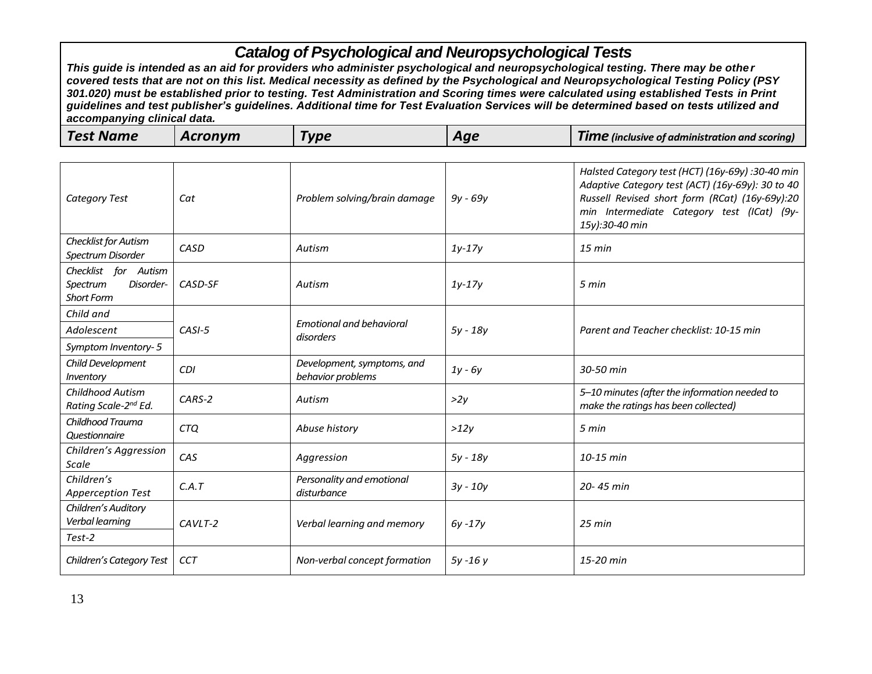| Test Name<br>Acronvm<br>Type<br><b>TIME</b> (inclusive of administration and scoring)<br>Aae |  |
|----------------------------------------------------------------------------------------------|--|
|----------------------------------------------------------------------------------------------|--|

| <b>Category Test</b>                                               | Cat        | Problem solving/brain damage                    | $9y - 69y$ | Halsted Category test (HCT) (16y-69y) :30-40 min<br>Adaptive Category test (ACT) (16y-69y): 30 to 40<br>Russell Revised short form (RCat) (16y-69y):20<br>min Intermediate Category test (ICat) (9y-<br>15y):30-40 min |
|--------------------------------------------------------------------|------------|-------------------------------------------------|------------|------------------------------------------------------------------------------------------------------------------------------------------------------------------------------------------------------------------------|
| Checklist for Autism<br>Spectrum Disorder                          | CASD       | Autism                                          | $1y-17y$   | $15$ min                                                                                                                                                                                                               |
| Checklist for Autism<br>Spectrum<br>Disorder-<br><b>Short Form</b> | CASD-SF    | Autism                                          | $1y-17y$   | 5 min                                                                                                                                                                                                                  |
| Child and                                                          |            | <b>Emotional and behavioral</b>                 |            |                                                                                                                                                                                                                        |
| Adolescent                                                         | $CASI-5$   | disorders                                       | $5y - 18y$ | Parent and Teacher checklist: 10-15 min                                                                                                                                                                                |
| Symptom Inventory-5                                                |            |                                                 |            |                                                                                                                                                                                                                        |
| Child Development<br>Inventory                                     | <b>CDI</b> | Development, symptoms, and<br>behavior problems | $1y - 6y$  | 30-50 min                                                                                                                                                                                                              |
| <b>Childhood Autism</b><br>Rating Scale-2 <sup>nd</sup> Ed.        | CARS-2     | Autism                                          | >2y        | 5-10 minutes (after the information needed to<br>make the ratings has been collected)                                                                                                                                  |
| Childhood Trauma<br>Questionnaire                                  | <b>CTQ</b> | Abuse history                                   | >12y       | 5 min                                                                                                                                                                                                                  |
| Children's Aggression<br><b>Scale</b>                              | CAS        | Aggression                                      | $5y - 18y$ | $10-15$ min                                                                                                                                                                                                            |
| Children's<br><b>Apperception Test</b>                             | C.A.T      | Personality and emotional<br>disturbance        | $3y - 10y$ | 20-45 min                                                                                                                                                                                                              |
| Children's Auditory<br>Verbal learning<br>Test-2                   | CAVLT-2    | Verbal learning and memory                      | $6y - 17y$ | 25 min                                                                                                                                                                                                                 |
| Children's Category Test                                           | CCT        | Non-verbal concept formation                    | $5y - 16y$ | 15-20 min                                                                                                                                                                                                              |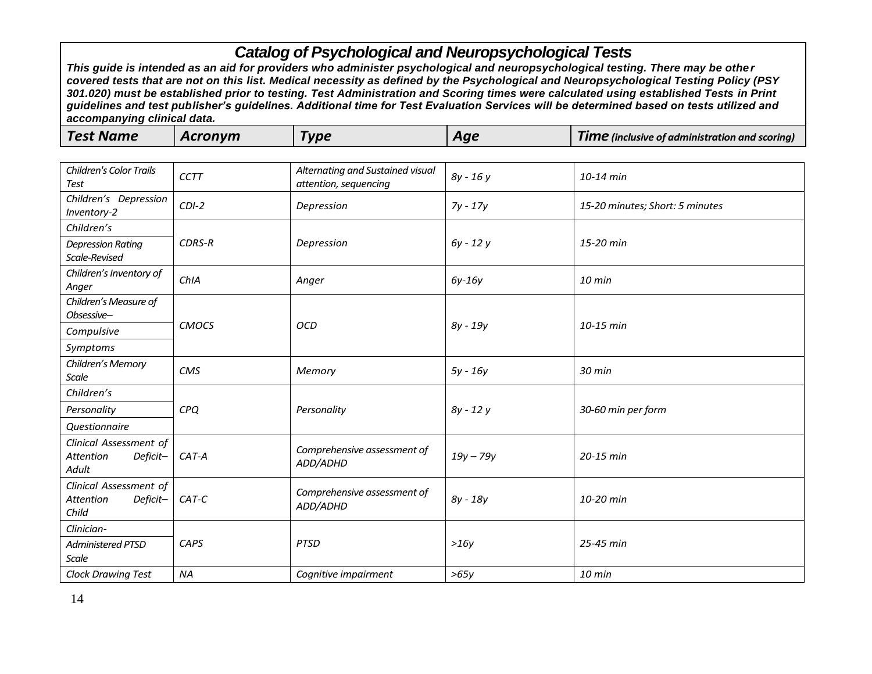| <b>Test Name</b> | Acronym | <b>Vpe</b> | Aqe | <b>Time</b> (inclusive of administration and scoring) |
|------------------|---------|------------|-----|-------------------------------------------------------|
|------------------|---------|------------|-----|-------------------------------------------------------|

| <b>Children's Color Trails</b><br>Test                                 | <b>CCTT</b>   | Alternating and Sustained visual<br>attention, sequencing | 8y - 16y    | 10-14 min                       |
|------------------------------------------------------------------------|---------------|-----------------------------------------------------------|-------------|---------------------------------|
| Children's Depression<br>Inventory-2                                   | $CDI-2$       | Depression                                                | $7y - 17y$  | 15-20 minutes; Short: 5 minutes |
| Children's                                                             |               |                                                           |             |                                 |
| <b>Depression Rating</b><br>Scale-Revised                              | <b>CDRS-R</b> | Depression                                                | $6y - 12y$  | 15-20 min                       |
| Children's Inventory of<br>Anger                                       | ChIA          | Anger                                                     | $6y-16y$    | 10 min                          |
| Children's Measure of<br>Obsessive-                                    |               |                                                           |             |                                 |
| Compulsive                                                             | <b>CMOCS</b>  | <b>OCD</b>                                                | $8y - 19y$  | 10-15 min                       |
| Symptoms                                                               |               |                                                           |             |                                 |
| Children's Memory<br><b>Scale</b>                                      | CMS           | Memory                                                    | $5y - 16y$  | 30 min                          |
| Children's                                                             |               |                                                           |             |                                 |
| Personality                                                            | CPQ           | Personality                                               | 8y - 12y    | 30-60 min per form              |
| <b>Questionnaire</b>                                                   |               |                                                           |             |                                 |
| Clinical Assessment of<br><b>Attention</b><br>Deficit-<br><b>Adult</b> | CAT-A         | Comprehensive assessment of<br>ADD/ADHD                   | $19y - 79y$ | 20-15 min                       |
| Clinical Assessment of<br>Deficit-<br><b>Attention</b><br>Child        | CAT-C         | Comprehensive assessment of<br>ADD/ADHD                   | $8y - 18y$  | 10-20 min                       |
| Clinician-                                                             |               |                                                           |             |                                 |
| <b>Administered PTSD</b><br>Scale                                      | CAPS          | <b>PTSD</b>                                               | >16y        | 25-45 min                       |
| <b>Clock Drawing Test</b>                                              | <b>NA</b>     | Cognitive impairment                                      | >65y        | 10 min                          |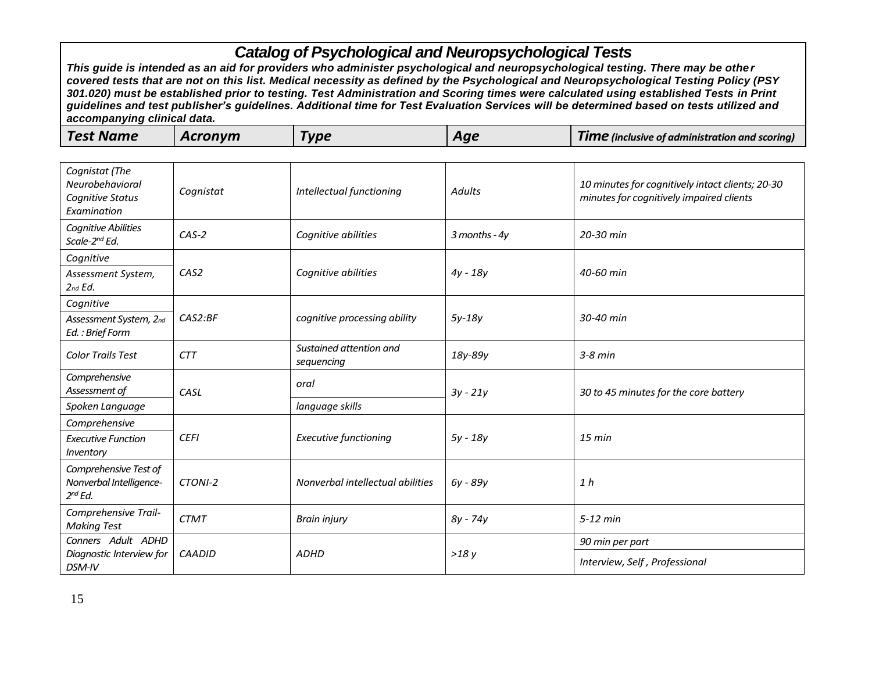| <b>Test Name</b> | Acronvm | Type | Aqe | Tıme<br>of linclusive of administration and scoring). 2 ( |
|------------------|---------|------|-----|-----------------------------------------------------------|
|------------------|---------|------|-----|-----------------------------------------------------------|

| Cognistat (The<br>Neurobehavioral<br>Cognitive Status<br>Examination | Cognistat        | Intellectual functioning              | <b>Adults</b>     | 10 minutes for cognitively intact clients; 20-30<br>minutes for cognitively impaired clients |
|----------------------------------------------------------------------|------------------|---------------------------------------|-------------------|----------------------------------------------------------------------------------------------|
| Cognitive Abilities<br>Scale-2 <sup>nd</sup> Ed.                     | $CAS-2$          | Cognitive abilities                   | $3$ months - $4y$ | 20-30 min                                                                                    |
| Cognitive                                                            |                  |                                       |                   |                                                                                              |
| Assessment System,<br>$2$ nd $Ed.$                                   | CAS <sub>2</sub> | Cognitive abilities                   | $4y - 18y$        | 40-60 min                                                                                    |
| Cognitive                                                            |                  |                                       |                   |                                                                                              |
| Assessment System, 2nd<br>Ed.: Brief Form                            | CAS2:BF          | cognitive processing ability          | $5y-18y$          | 30-40 min                                                                                    |
| <b>Color Trails Test</b>                                             | <b>CTT</b>       | Sustained attention and<br>sequencing | 18y-89y           | $3-8$ min                                                                                    |
| Comprehensive<br>Assessment of                                       | CASL             | oral                                  | $3y - 21y$        | 30 to 45 minutes for the core battery                                                        |
| Spoken Language                                                      |                  | language skills                       |                   |                                                                                              |
| Comprehensive                                                        |                  |                                       |                   |                                                                                              |
| <b>Executive Function</b><br>Inventory                               | <b>CEFI</b>      | <b>Executive functioning</b>          | $5y - 18y$        | $15$ min                                                                                     |
| Comprehensive Test of<br>Nonverbal Intelligence-<br>$2^{nd}$ Ed.     | CTONI-2          | Nonverbal intellectual abilities      | $6y - 89y$        | 1 <sub>h</sub>                                                                               |
| Comprehensive Trail-<br><b>Making Test</b>                           | <b>CTMT</b>      | <b>Brain injury</b>                   | $8y - 74y$        | $5-12$ min                                                                                   |
| Conners Adult ADHD                                                   |                  | <b>ADHD</b>                           | >18y              | 90 min per part                                                                              |
| Diagnostic Interview for<br>DSM-IV                                   | <b>CAADID</b>    |                                       |                   | Interview, Self, Professional                                                                |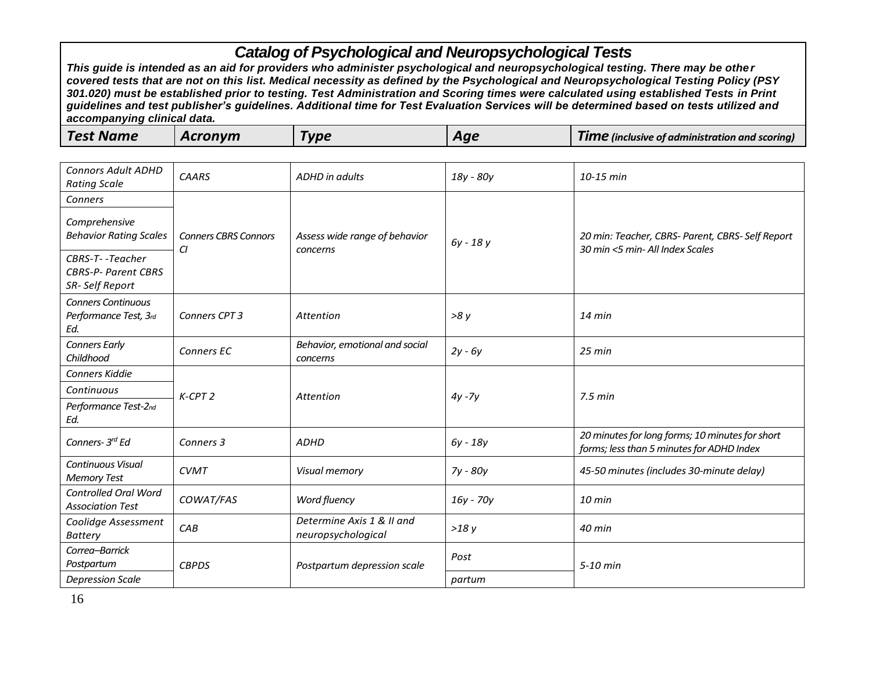*This guide is intended as an aid for providers who administer psychological and neuropsychological testing. There may be other covered tests that are not on this list. Medical necessity as defined by the Psychological and Neuropsychological Testing Policy (PSY 301.020) must be established prior to testing. Test Administration and Scoring times were calculated using established Tests in Print guidelines and test publisher's guidelines. Additional time for Test Evaluation Services will be determined based on tests utilized and accompanying clinical data.*

| <b>Test Name</b><br>Acronvm<br><b>VDE</b><br><b>TIME</b> (inclusive of administration and scoring)<br>Aqe |
|-----------------------------------------------------------------------------------------------------------|
|-----------------------------------------------------------------------------------------------------------|

| <b>Connors Adult ADHD</b><br><b>Rating Scale</b>                | <b>CAARS</b>                      | ADHD in adults                                  | 18y - 80y | 10-15 min                                                                                    |
|-----------------------------------------------------------------|-----------------------------------|-------------------------------------------------|-----------|----------------------------------------------------------------------------------------------|
| Conners                                                         |                                   |                                                 |           |                                                                                              |
| Comprehensive<br><b>Behavior Rating Scales</b>                  | <b>Conners CBRS Connors</b><br>CI | Assess wide range of behavior<br>concerns       | 6y - 18y  | 20 min: Teacher, CBRS- Parent, CBRS- Self Report<br>30 min <5 min- All Index Scales          |
| CBRS-T--Teacher<br><b>CBRS-P- Parent CBRS</b><br>SR-Self Report |                                   |                                                 |           |                                                                                              |
| <b>Conners Continuous</b><br>Performance Test, 3rd<br>Ed.       | Conners CPT 3                     | Attention                                       | >8y       | $14$ min                                                                                     |
| <b>Conners Early</b><br>Childhood                               | Conners EC                        | Behavior, emotional and social<br>concerns      | $2y - 6y$ | 25 min                                                                                       |
| <b>Conners Kiddie</b>                                           |                                   | Attention                                       | $4y - 7y$ | $7.5$ min                                                                                    |
| Continuous                                                      | $K-CPT2$                          |                                                 |           |                                                                                              |
| Performance Test-2nd<br>Ed.                                     |                                   |                                                 |           |                                                                                              |
| Conners- 3 <sup>rd</sup> Ed                                     | Conners 3                         | <b>ADHD</b>                                     | 6y - 18y  | 20 minutes for long forms; 10 minutes for short<br>forms; less than 5 minutes for ADHD Index |
| Continuous Visual<br><b>Memory Test</b>                         | <b>CVMT</b>                       | Visual memory                                   | 7y - 80y  | 45-50 minutes (includes 30-minute delay)                                                     |
| Controlled Oral Word<br><b>Association Test</b>                 | COWAT/FAS                         | Word fluency                                    | 16y - 70y | $10$ min                                                                                     |
| Coolidge Assessment<br><b>Battery</b>                           | CAB                               | Determine Axis 1 & II and<br>neuropsychological | >18y      | 40 min                                                                                       |
| Correa-Barrick<br>Postpartum                                    | <b>CBPDS</b>                      | Postpartum depression scale                     | Post      | 5-10 min                                                                                     |
| <b>Depression Scale</b>                                         |                                   |                                                 | partum    |                                                                                              |

16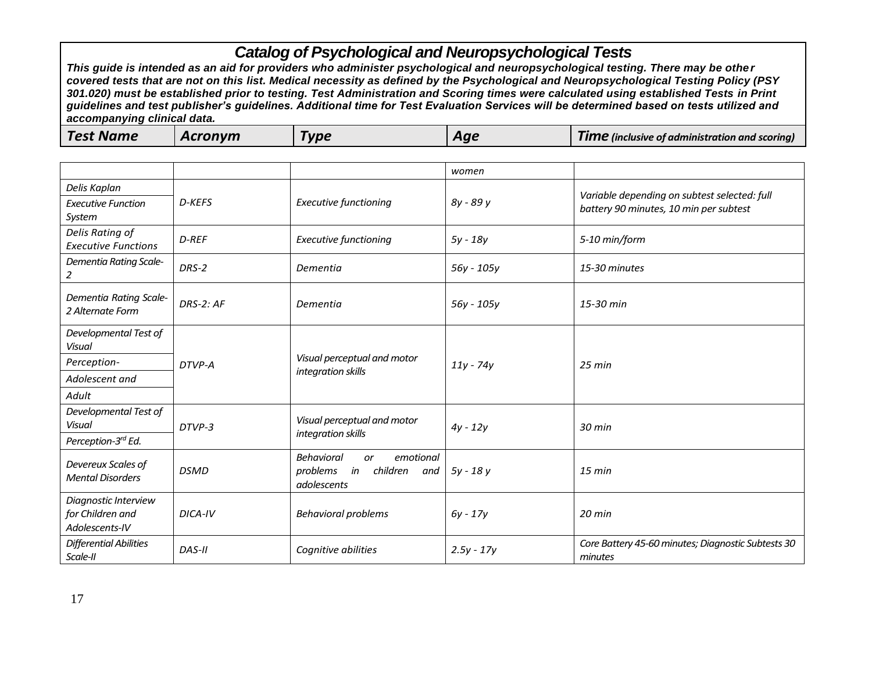| <b>Test Name</b> | Acronym | <b>Vpe</b> | Aqe | <b>Time</b> (inclusive of administration and scoring) |
|------------------|---------|------------|-----|-------------------------------------------------------|
|------------------|---------|------------|-----|-------------------------------------------------------|

|                                                            |             |                                                                                    | women        |                                                                                        |
|------------------------------------------------------------|-------------|------------------------------------------------------------------------------------|--------------|----------------------------------------------------------------------------------------|
| Delis Kaplan<br><b>Executive Function</b><br>System        | D-KEFS      | <b>Executive functioning</b>                                                       | 8y - 89 y    | Variable depending on subtest selected: full<br>battery 90 minutes, 10 min per subtest |
| Delis Rating of<br><b>Executive Functions</b>              | D-REF       | <b>Executive functioning</b>                                                       | 5y - 18y     | 5-10 min/form                                                                          |
| Dementia Rating Scale-<br>2                                | DRS-2       | Dementia                                                                           | 56y - 105y   | 15-30 minutes                                                                          |
| Dementia Rating Scale-<br>2 Alternate Form                 | $DRS-2:AF$  | Dementia                                                                           | 56y - 105y   | 15-30 min                                                                              |
| Developmental Test of<br>Visual                            | DTVP-A      | Visual perceptual and motor<br>integration skills                                  | $11y - 74y$  | $25$ min                                                                               |
| Perception-                                                |             |                                                                                    |              |                                                                                        |
| Adolescent and                                             |             |                                                                                    |              |                                                                                        |
| Adult                                                      |             |                                                                                    |              |                                                                                        |
| Developmental Test of<br><b>Visual</b>                     | DTVP-3      | Visual perceptual and motor                                                        | $4y - 12y$   | 30 min                                                                                 |
| Perception-3rd Ed.                                         |             | integration skills                                                                 |              |                                                                                        |
| Devereux Scales of<br><b>Mental Disorders</b>              | <b>DSMD</b> | <b>Behavioral</b><br>emotional<br>or<br>problems in children<br>and<br>adolescents | 5y - 18y     | $15 \text{ min}$                                                                       |
| Diagnostic Interview<br>for Children and<br>Adolescents-IV | DICA-IV     | <b>Behavioral problems</b>                                                         | $6y - 17y$   | 20 min                                                                                 |
| <b>Differential Abilities</b><br>Scale-II                  | DAS-II      | Cognitive abilities                                                                | $2.5y - 17y$ | Core Battery 45-60 minutes; Diagnostic Subtests 30<br>minutes                          |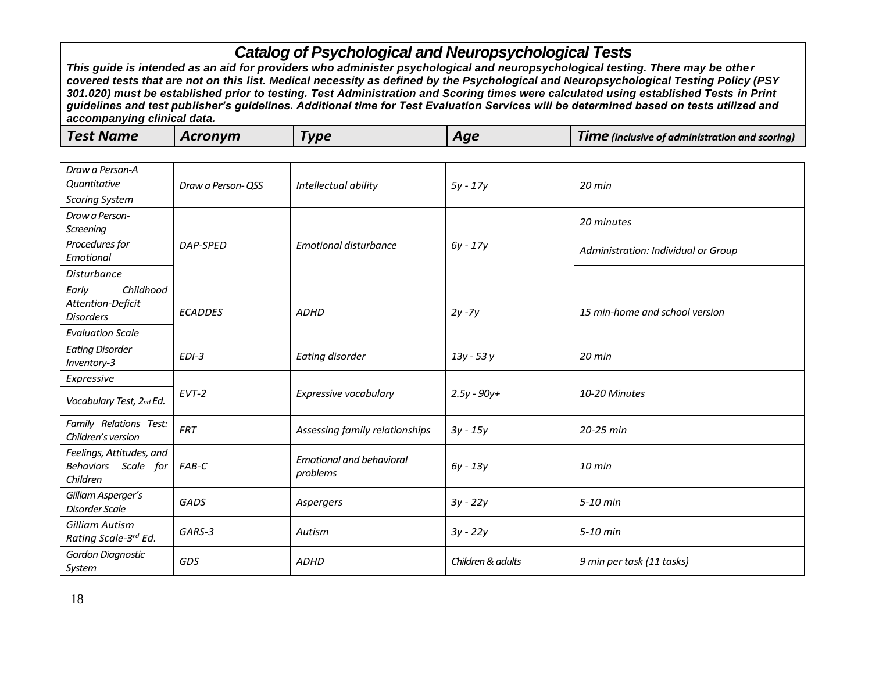| Draw a Person-A<br><b>Quantitative</b><br><b>Scoring System</b> | Draw a Person- QSS | Intellectual ability                        | $5y - 17y$        | $20$ min                            |
|-----------------------------------------------------------------|--------------------|---------------------------------------------|-------------------|-------------------------------------|
| Draw a Person-<br>Screening                                     |                    |                                             |                   | 20 minutes                          |
| Procedures for<br>Emotional                                     | DAP-SPED           | <b>Emotional disturbance</b>                | $6y - 17y$        | Administration: Individual or Group |
| <b>Disturbance</b>                                              |                    |                                             |                   |                                     |
| Childhood<br>Early<br>Attention-Deficit<br><b>Disorders</b>     | <b>ECADDES</b>     | <b>ADHD</b>                                 | $2y - 7y$         | 15 min-home and school version      |
| <b>Evaluation Scale</b>                                         |                    |                                             |                   |                                     |
| <b>Eating Disorder</b><br>Inventory-3                           | $EDI-3$            | Eating disorder                             | 13y - 53y         | 20 min                              |
| Expressive                                                      |                    |                                             |                   |                                     |
| Vocabulary Test, 2nd Ed.                                        | $EVT-2$            | Expressive vocabulary                       | $2.5y - 90y +$    | 10-20 Minutes                       |
| Family Relations Test:<br>Children's version                    | <b>FRT</b>         | Assessing family relationships              | $3y - 15y$        | 20-25 min                           |
| Feelings, Attitudes, and<br>Behaviors Scale for<br>Children     | FAB-C              | <b>Emotional and behavioral</b><br>problems | $6y - 13y$        | 10 min                              |
| Gilliam Asperger's<br><b>Disorder Scale</b>                     | GADS               | Aspergers                                   | $3y - 22y$        | 5-10 min                            |
| Gilliam Autism<br>Rating Scale-3rd Ed.                          | GARS-3             | Autism                                      | $3y - 22y$        | 5-10 min                            |
| Gordon Diagnostic<br>System                                     | GDS                | <b>ADHD</b>                                 | Children & adults | 9 min per task (11 tasks)           |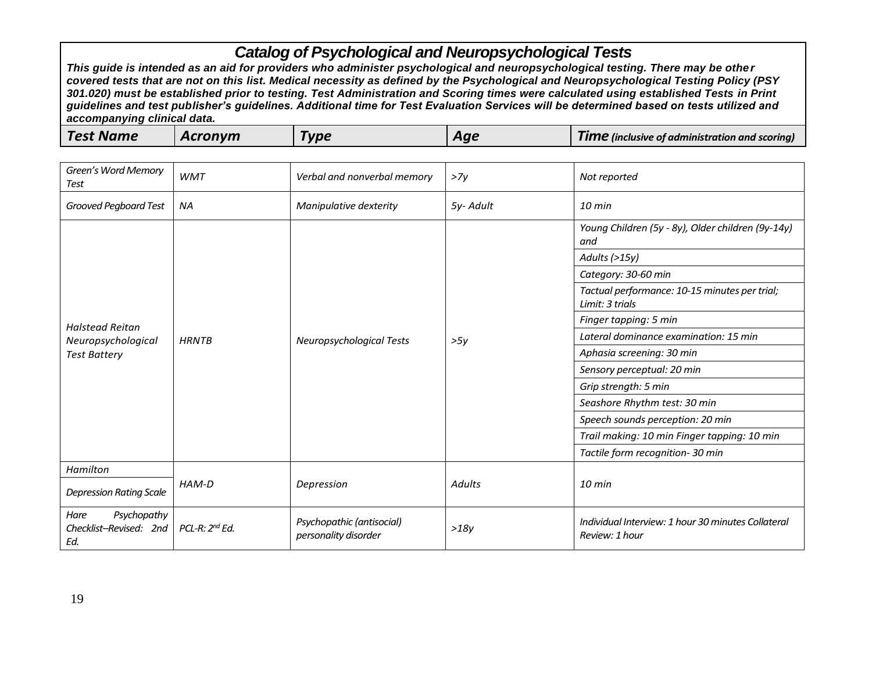| Green's Word Memory<br>Test                          | <b>WMT</b>                 | Verbal and nonverbal memory                       | >7v      | Not reported                                                         |
|------------------------------------------------------|----------------------------|---------------------------------------------------|----------|----------------------------------------------------------------------|
| Grooved Pegboard Test                                | <b>NA</b>                  | Manipulative dexterity                            | 5y-Adult | $10 \text{ min}$                                                     |
|                                                      |                            |                                                   |          | Young Children (5y - 8y), Older children (9y-14y)<br>and             |
|                                                      |                            |                                                   |          | Adults (>15y)                                                        |
|                                                      |                            |                                                   |          | Category: 30-60 min                                                  |
|                                                      | <b>HRNTB</b>               | <b>Neuropsychological Tests</b>                   |          | Tactual performance: 10-15 minutes per trial;<br>Limit: 3 trials     |
| <b>Halstead Reitan</b>                               |                            |                                                   |          | Finger tapping: 5 min                                                |
| Neuropsychological                                   |                            |                                                   | >5y      | Lateral dominance examination: 15 min                                |
| <b>Test Battery</b>                                  |                            |                                                   |          | Aphasia screening: 30 min                                            |
|                                                      |                            |                                                   |          | Sensory perceptual: 20 min                                           |
|                                                      |                            |                                                   |          | Grip strength: 5 min                                                 |
|                                                      |                            |                                                   |          | Seashore Rhythm test: 30 min                                         |
|                                                      |                            |                                                   |          | Speech sounds perception: 20 min                                     |
|                                                      |                            |                                                   |          | Trail making: 10 min Finger tapping: 10 min                          |
|                                                      |                            |                                                   |          | Tactile form recognition-30 min                                      |
| Hamilton                                             |                            |                                                   |          |                                                                      |
| <b>Depression Rating Scale</b>                       | HAM-D                      | Depression                                        | Adults   | $10$ min                                                             |
| Psychopathy<br>Hare<br>Checklist-Revised: 2nd<br>Ed. | PCL-R: 2 <sup>nd</sup> Ed. | Psychopathic (antisocial)<br>personality disorder | >18y     | Individual Interview: 1 hour 30 minutes Collateral<br>Review: 1 hour |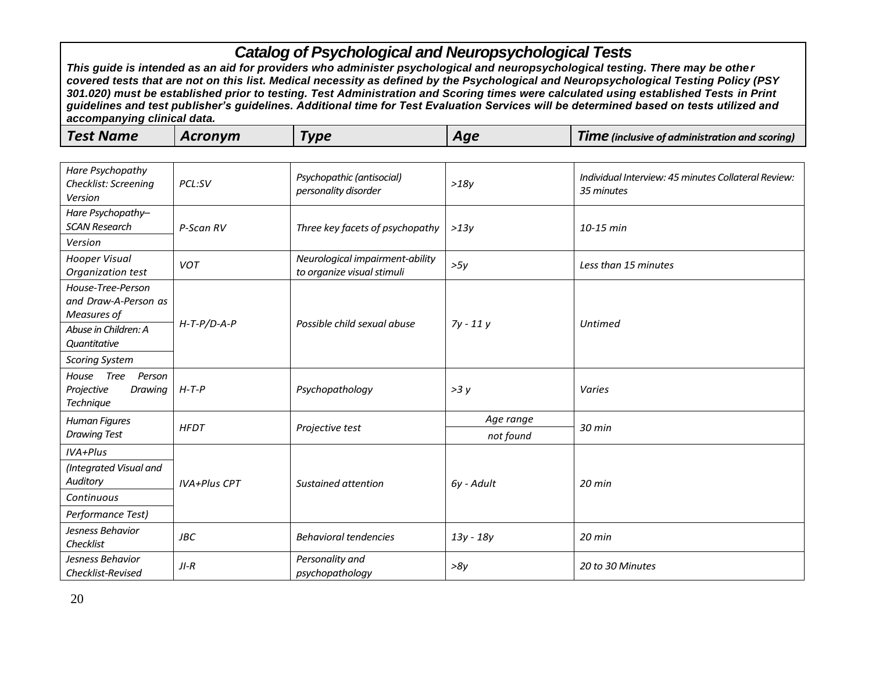| <b>Test Name</b><br>Acronvm<br>Гурє<br><b>TIME</b> (inclusive of administration and scoring)<br>Aqe |  |
|-----------------------------------------------------------------------------------------------------|--|
|-----------------------------------------------------------------------------------------------------|--|

| Hare Psychopathy<br>Checklist: Screening<br>Version                  | PCL:SV              | Psychopathic (antisocial)<br>personality disorder             | >18y                   | Individual Interview: 45 minutes Collateral Review:<br>35 minutes |
|----------------------------------------------------------------------|---------------------|---------------------------------------------------------------|------------------------|-------------------------------------------------------------------|
| Hare Psychopathy-<br><b>SCAN Research</b>                            | P-Scan RV           | Three key facets of psychopathy                               | >13v                   | 10-15 min                                                         |
| Version                                                              |                     |                                                               |                        |                                                                   |
| Hooper Visual<br>Organization test                                   | <b>VOT</b>          | Neurological impairment-ability<br>to organize visual stimuli | >5y                    | Less than 15 minutes                                              |
| House-Tree-Person<br>and Draw-A-Person as<br>Measures of             |                     | Possible child sexual abuse                                   |                        | <b>Untimed</b>                                                    |
| Abuse in Children: A<br>Quantitative                                 | $H$ -T-P/D-A-P      |                                                               | $7y - 11y$             |                                                                   |
| <b>Scoring System</b>                                                |                     |                                                               |                        |                                                                   |
| <b>Tree</b><br>House<br>Person<br>Projective<br>Drawing<br>Technique | $H-T-P$             | Psychopathology                                               | >3y                    | Varies                                                            |
| Human Figures<br><b>Drawing Test</b>                                 | <b>HFDT</b>         | Projective test                                               | Age range<br>not found | 30 min                                                            |
| IVA+Plus                                                             |                     |                                                               |                        |                                                                   |
| (Integrated Visual and<br>Auditory                                   | <b>IVA+Plus CPT</b> | Sustained attention                                           | 6y - Adult             | $20$ min                                                          |
| Continuous                                                           |                     |                                                               |                        |                                                                   |
| Performance Test)                                                    |                     |                                                               |                        |                                                                   |
| Jesness Behavior<br>Checklist                                        | <b>JBC</b>          | <b>Behavioral tendencies</b>                                  | 13y - 18y              | 20 min                                                            |
| Jesness Behavior<br>Checklist-Revised                                | $JI-R$              | Personality and<br>psychopathology                            | >8y                    | 20 to 30 Minutes                                                  |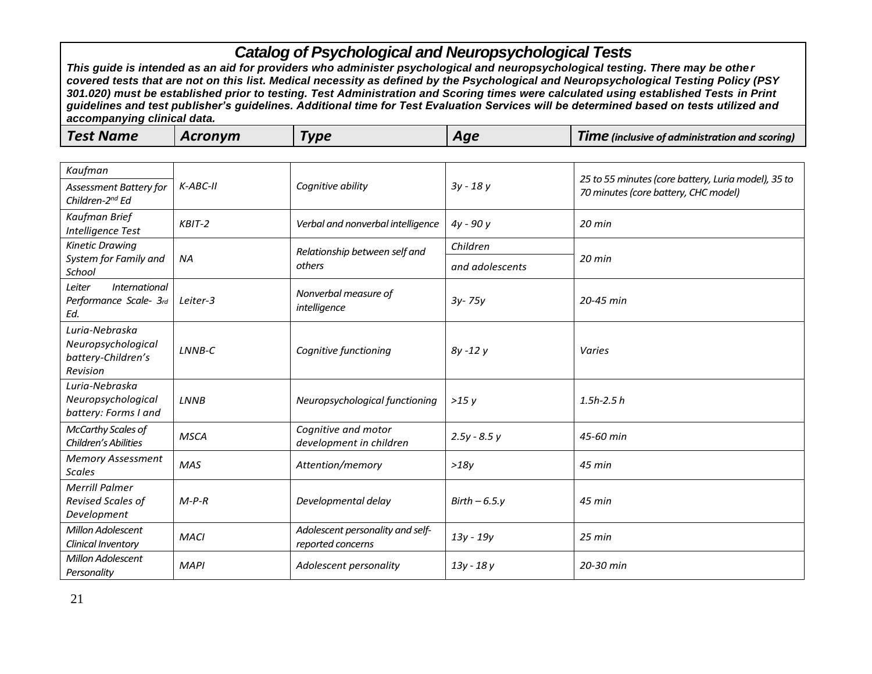| Kaufman                                                                |             |                                                       |                 | 25 to 55 minutes (core battery, Luria model), 35 to |
|------------------------------------------------------------------------|-------------|-------------------------------------------------------|-----------------|-----------------------------------------------------|
| Assessment Battery for<br>Children-2 <sup>nd</sup> Ed                  | $K-ABC-H$   | Cognitive ability                                     | $3y - 18y$      | 70 minutes (core battery, CHC model)                |
| Kaufman Brief<br>Intelligence Test                                     | $KBIT-2$    | Verbal and nonverbal intelligence                     | $4y - 90y$      | $20$ min                                            |
| <b>Kinetic Drawing</b>                                                 |             | Relationship between self and                         | Children        |                                                     |
| System for Family and<br>School                                        | <b>NA</b>   | others                                                | and adolescents | $20$ min                                            |
| International<br>Leiter<br>Performance Scale- 3rd<br>Ed.               | Leiter-3    | Nonverbal measure of<br>intelligence                  | $3y - 75y$      | 20-45 min                                           |
| Luria-Nebraska<br>Neuropsychological<br>battery-Children's<br>Revision | LNNB-C      | Cognitive functioning                                 | $8y - 12y$      | Varies                                              |
| Luria-Nebraska<br>Neuropsychological<br>battery: Forms I and           | LNNB        | Neuropsychological functioning                        | >15y            | $1.5h - 2.5h$                                       |
| <b>McCarthy Scales of</b><br>Children's Abilities                      | <b>MSCA</b> | Cognitive and motor<br>development in children        | $2.5y - 8.5y$   | 45-60 min                                           |
| <b>Memory Assessment</b><br><b>Scales</b>                              | <b>MAS</b>  | Attention/memory                                      | >18y            | 45 min                                              |
| <b>Merrill Palmer</b><br>Revised Scales of<br>Development              | $M-P-R$     | Developmental delay                                   | $Birth - 6.5.y$ | $45$ min                                            |
| Millon Adolescent<br>Clinical Inventory                                | <b>MACI</b> | Adolescent personality and self-<br>reported concerns | 13y - 19y       | 25 min                                              |
| Millon Adolescent<br>Personality                                       | <b>MAPI</b> | Adolescent personality                                | 13y - 18y       | 20-30 min                                           |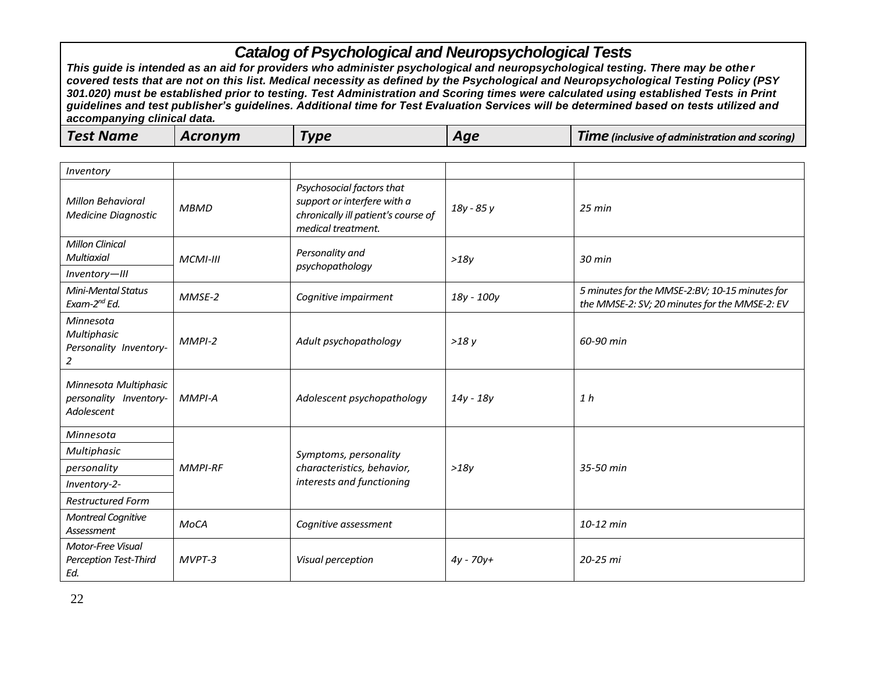| <b>Test Name</b><br>Acronvm<br><b>Type</b><br>Aae | <b>Time</b> (inclusive of administration and scoring) |
|---------------------------------------------------|-------------------------------------------------------|
|---------------------------------------------------|-------------------------------------------------------|

| Inventory                                                     |                 |                                                                                                                       |              |                                                                                                 |
|---------------------------------------------------------------|-----------------|-----------------------------------------------------------------------------------------------------------------------|--------------|-------------------------------------------------------------------------------------------------|
| <b>Millon Behavioral</b><br><b>Medicine Diagnostic</b>        | <b>MBMD</b>     | Psychosocial factors that<br>support or interfere with a<br>chronically ill patient's course of<br>medical treatment. | 18y - 85 y   | 25 min                                                                                          |
| <b>Millon Clinical</b><br><b>Multiaxial</b><br>Inventory-III  | <b>MCMI-III</b> | Personality and<br>psychopathology                                                                                    | >18y         | $30$ min                                                                                        |
| Mini-Mental Status<br>Exam-2 <sup>nd</sup> Ed.                | MMSE-2          | Cognitive impairment                                                                                                  | 18y - 100y   | 5 minutes for the MMSE-2:BV; 10-15 minutes for<br>the MMSE-2: SV; 20 minutes for the MMSE-2: EV |
| Minnesota<br>Multiphasic<br>Personality Inventory-<br>2       | $MMPI-2$        | Adult psychopathology                                                                                                 | >18y         | 60-90 min                                                                                       |
| Minnesota Multiphasic<br>personality Inventory-<br>Adolescent | <b>MMPI-A</b>   | Adolescent psychopathology                                                                                            | $14y - 18y$  | 1 h                                                                                             |
| Minnesota                                                     |                 |                                                                                                                       |              |                                                                                                 |
| Multiphasic                                                   |                 | Symptoms, personality                                                                                                 |              |                                                                                                 |
| personality                                                   | <b>MMPI-RF</b>  | characteristics, behavior,                                                                                            | >18y         | 35-50 min                                                                                       |
| Inventory-2-                                                  |                 | interests and functioning                                                                                             |              |                                                                                                 |
| <b>Restructured Form</b>                                      |                 |                                                                                                                       |              |                                                                                                 |
| <b>Montreal Cognitive</b><br>Assessment                       | MoCA            | Cognitive assessment                                                                                                  |              | 10-12 min                                                                                       |
| Motor-Free Visual<br><b>Perception Test-Third</b><br>Ed.      | $MVPT-3$        | Visual perception                                                                                                     | $4y - 70y +$ | 20-25 mi                                                                                        |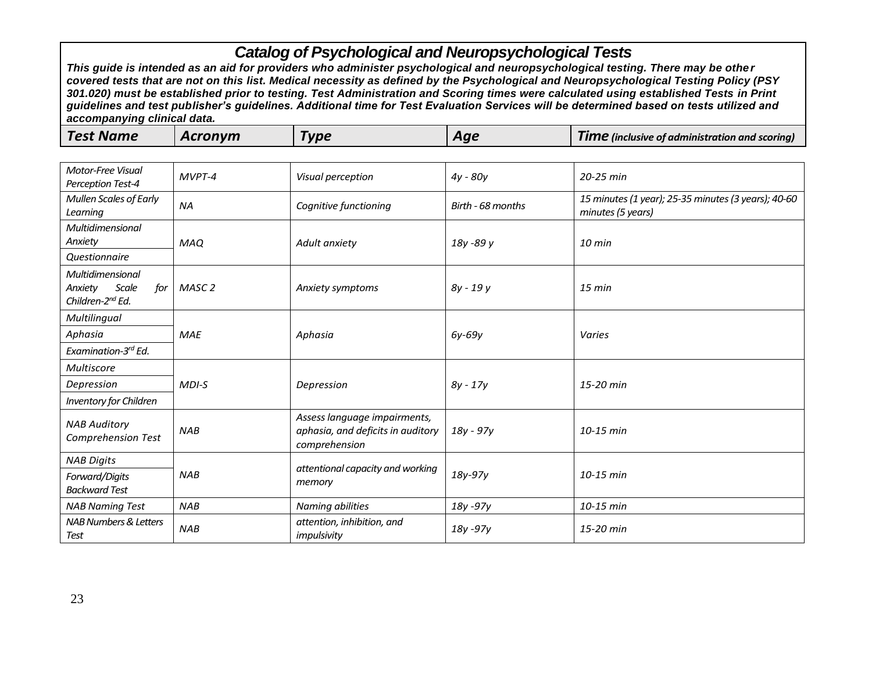| <b>Test Name</b> | Acronym | Гуре | Aae | <b>TIME</b> (inclusive of administration and scoring) |
|------------------|---------|------|-----|-------------------------------------------------------|
|------------------|---------|------|-----|-------------------------------------------------------|

| <b>Motor-Free Visual</b><br>Perception Test-4                               | MVPT-4     | Visual perception                                                                  | $4y - 80y$        | 20-25 min                                                                |
|-----------------------------------------------------------------------------|------------|------------------------------------------------------------------------------------|-------------------|--------------------------------------------------------------------------|
| <b>Mullen Scales of Early</b><br>Learning                                   | <b>NA</b>  | Cognitive functioning                                                              | Birth - 68 months | 15 minutes (1 year); 25-35 minutes (3 years); 40-60<br>minutes (5 years) |
| Multidimensional<br>Anxiety                                                 | <b>MAO</b> | Adult anxiety                                                                      | 18y -89 y         | $10$ min                                                                 |
| <b>Questionnaire</b>                                                        |            |                                                                                    |                   |                                                                          |
| Multidimensional<br>Scale<br>Anxiety<br>for<br>Children-2 <sup>nd</sup> Ed. | MASC 2     | Anxiety symptoms                                                                   | 8y - 19 y         | $15$ min                                                                 |
| Multilingual                                                                |            |                                                                                    |                   |                                                                          |
| Aphasia                                                                     | <b>MAE</b> | Aphasia                                                                            | 6y-69y            | Varies                                                                   |
| Examination-3rd Ed.                                                         |            |                                                                                    |                   |                                                                          |
| <b>Multiscore</b>                                                           |            |                                                                                    |                   |                                                                          |
| Depression                                                                  | $MDI-S$    | Depression                                                                         | $8y - 17y$        | 15-20 min                                                                |
| <b>Inventory for Children</b>                                               |            |                                                                                    |                   |                                                                          |
| <b>NAB Auditory</b><br>Comprehension Test                                   | <b>NAB</b> | Assess language impairments,<br>aphasia, and deficits in auditory<br>comprehension | 18y - 97y         | $10-15$ min                                                              |
| <b>NAB Digits</b>                                                           |            |                                                                                    |                   |                                                                          |
| Forward/Digits<br><b>Backward Test</b>                                      | <b>NAB</b> | attentional capacity and working<br>memory                                         | 18y-97y           | 10-15 min                                                                |
| <b>NAB Naming Test</b>                                                      | <b>NAB</b> | Naming abilities                                                                   | 18y -97y          | 10-15 min                                                                |
| NAB Numbers & Letters<br>Test                                               | <b>NAB</b> | attention, inhibition, and<br>impulsivity                                          | 18y -97y          | 15-20 min                                                                |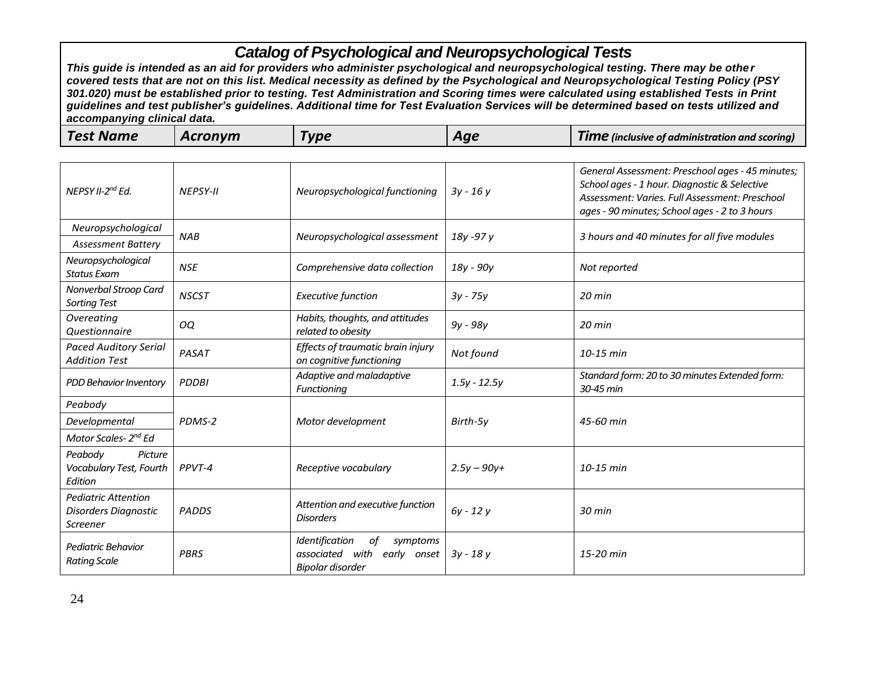| <b>Test Name</b><br>Acronym | Гуре | Aqe | <b>TIME</b> (inclusive of administration and scoring) |
|-----------------------------|------|-----|-------------------------------------------------------|
|-----------------------------|------|-----|-------------------------------------------------------|

| NEPSY II-2 <sup>nd</sup> Ed.                                   | <b>NEPSY-II</b> | Neuropsychological functioning                                                            | $3y - 16y$     | General Assessment: Preschool ages - 45 minutes;<br>School ages - 1 hour. Diagnostic & Selective<br>Assessment: Varies. Full Assessment: Preschool<br>ages - 90 minutes; School ages - 2 to 3 hours |
|----------------------------------------------------------------|-----------------|-------------------------------------------------------------------------------------------|----------------|-----------------------------------------------------------------------------------------------------------------------------------------------------------------------------------------------------|
| Neuropsychological                                             | <b>NAB</b>      | Neuropsychological assessment                                                             | 18y -97y       | 3 hours and 40 minutes for all five modules                                                                                                                                                         |
| <b>Assessment Battery</b>                                      |                 |                                                                                           |                |                                                                                                                                                                                                     |
| Neuropsychological<br><b>Status Exam</b>                       | <b>NSE</b>      | Comprehensive data collection                                                             | 18y - 90y      | Not reported                                                                                                                                                                                        |
| Nonverbal Stroop Card<br><b>Sorting Test</b>                   | <b>NSCST</b>    | <b>Executive function</b>                                                                 | $3y - 75y$     | 20 min                                                                                                                                                                                              |
| Overeating<br>Questionnaire                                    | OQ              | Habits, thoughts, and attitudes<br>related to obesity                                     | $9y - 98y$     | $20$ min                                                                                                                                                                                            |
| <b>Paced Auditory Serial</b><br><b>Addition Test</b>           | PASAT           | Effects of traumatic brain injury<br>on cognitive functioning                             | Not found      | 10-15 min                                                                                                                                                                                           |
| PDD Behavior Inventory                                         | <b>PDDBI</b>    | Adaptive and maladaptive<br>Functioning                                                   | $1.5y - 12.5y$ | Standard form: 20 to 30 minutes Extended form:<br>30-45 min                                                                                                                                         |
| Peabody                                                        |                 |                                                                                           |                |                                                                                                                                                                                                     |
| Developmental                                                  | PDMS-2          | Motor development                                                                         | Birth-5y       | 45-60 min                                                                                                                                                                                           |
| Motor Scales- 2 <sup>nd</sup> Ed                               |                 |                                                                                           |                |                                                                                                                                                                                                     |
| Peabody<br>Picture<br>Vocabulary Test, Fourth<br>Edition       | PPVT-4          | Receptive vocabulary                                                                      | $2.5y - 90y +$ | 10-15 min                                                                                                                                                                                           |
| <b>Pediatric Attention</b><br>Disorders Diagnostic<br>Screener | <b>PADDS</b>    | Attention and executive function<br><b>Disorders</b>                                      | $6y - 12y$     | $30$ min                                                                                                                                                                                            |
| Pediatric Behavior<br><b>Rating Scale</b>                      | <b>PBRS</b>     | Identification<br>оf<br>symptoms<br>associated<br>with<br>early onset<br>Bipolar disorder | $3y - 18y$     | 15-20 min                                                                                                                                                                                           |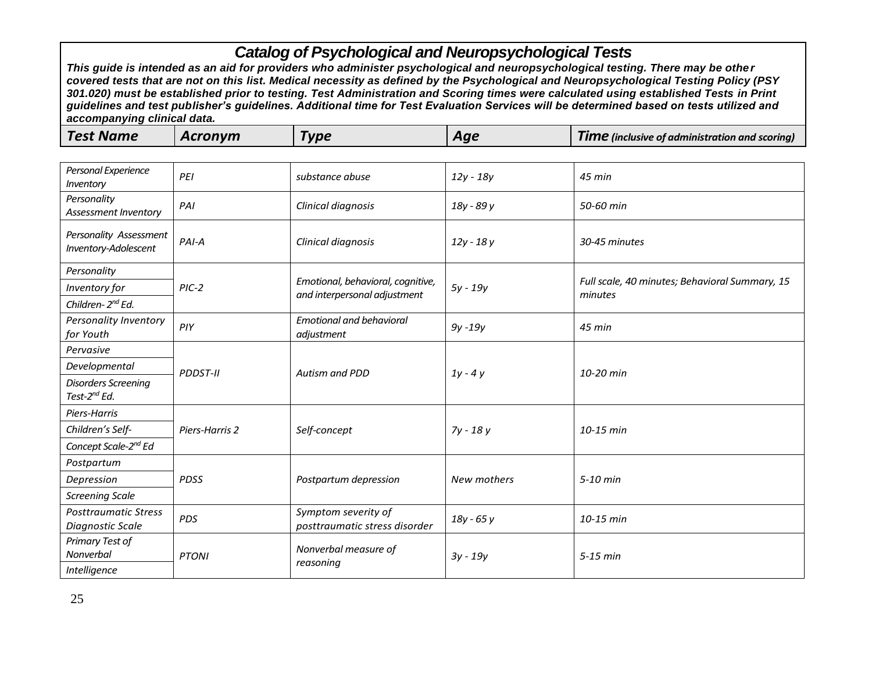| <b>Test Name</b><br>Acronym<br>Гурє<br><b>Time</b> (inclusive of administration and scoring)<br>Aqe |  |
|-----------------------------------------------------------------------------------------------------|--|
|-----------------------------------------------------------------------------------------------------|--|

| Personal Experience<br>Inventory                       | PEI             | substance abuse                                                   | 12y - 18y   | 45 min                                                    |
|--------------------------------------------------------|-----------------|-------------------------------------------------------------------|-------------|-----------------------------------------------------------|
| Personality<br>Assessment Inventory                    | PAI             | Clinical diagnosis                                                | 18y - 89 y  | 50-60 min                                                 |
| Personality Assessment<br>Inventory-Adolescent         | PAI-A           | Clinical diagnosis                                                | 12y - 18y   | 30-45 minutes                                             |
| Personality                                            |                 |                                                                   |             |                                                           |
| Inventory for                                          | $PIC-2$         | Emotional, behavioral, cognitive,<br>and interpersonal adjustment | 5y - 19y    | Full scale, 40 minutes; Behavioral Summary, 15<br>minutes |
| Children-2nd Ed.                                       |                 |                                                                   |             |                                                           |
| Personality Inventory<br>for Youth                     | PIY             | <b>Emotional and behavioral</b><br>adjustment                     | $9y - 19y$  | 45 min                                                    |
| Pervasive                                              |                 |                                                                   |             |                                                           |
| Developmental                                          | <b>PDDST-II</b> | Autism and PDD                                                    | $1y - 4y$   | 10-20 min                                                 |
| <b>Disorders Screening</b><br>Test-2 <sup>nd</sup> Ed. |                 |                                                                   |             |                                                           |
| Piers-Harris                                           |                 |                                                                   |             |                                                           |
| Children's Self-                                       | Piers-Harris 2  | Self-concept                                                      | 7y - 18 y   | 10-15 min                                                 |
| Concept Scale-2 <sup>nd</sup> Ed                       |                 |                                                                   |             |                                                           |
| Postpartum                                             |                 |                                                                   |             |                                                           |
| Depression                                             | <b>PDSS</b>     | Postpartum depression                                             | New mothers | 5-10 min                                                  |
| <b>Screening Scale</b>                                 |                 |                                                                   |             |                                                           |
| <b>Posttraumatic Stress</b><br>Diagnostic Scale        | <b>PDS</b>      | Symptom severity of<br>posttraumatic stress disorder              | 18y - 65 y  | 10-15 min                                                 |
| Primary Test of<br>Nonverbal                           | <b>PTONI</b>    | Nonverbal measure of<br>reasoning                                 | $3y - 19y$  | $5-15$ min                                                |
| Intelligence                                           |                 |                                                                   |             |                                                           |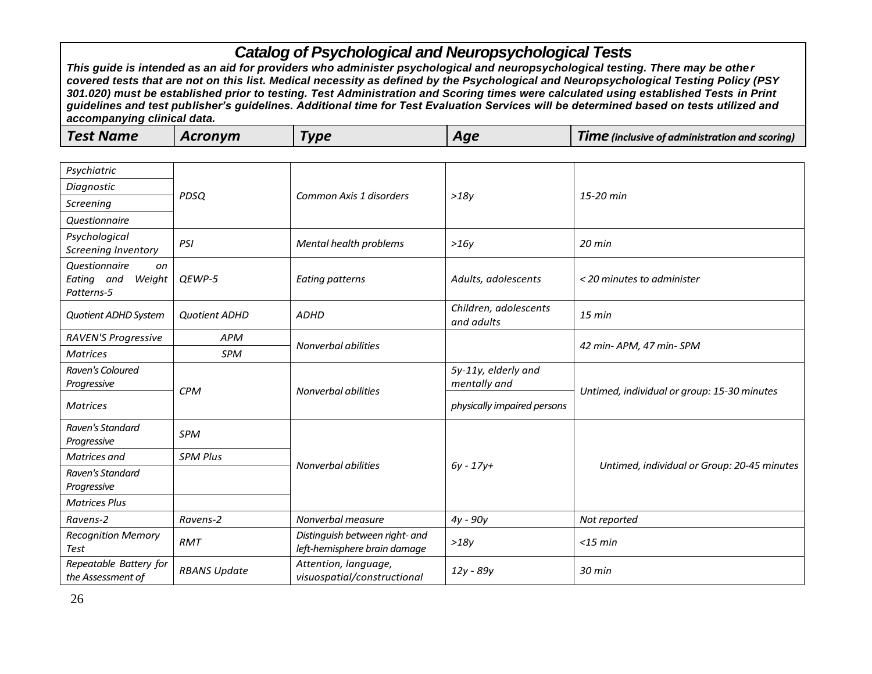| <b>Test Name</b><br>Acronym<br><b>Vpe</b><br><b>TIME</b> (inclusive of administration and scoring)<br>Aqe |
|-----------------------------------------------------------------------------------------------------------|
|-----------------------------------------------------------------------------------------------------------|

| Psychiatric                                               |                     |                                                                |                                     |                                             |
|-----------------------------------------------------------|---------------------|----------------------------------------------------------------|-------------------------------------|---------------------------------------------|
| Diagnostic                                                |                     |                                                                |                                     |                                             |
|                                                           | <b>PDSQ</b>         | Common Axis 1 disorders                                        | >18y                                | 15-20 min                                   |
| Screening                                                 |                     |                                                                |                                     |                                             |
| Questionnaire                                             |                     |                                                                |                                     |                                             |
| Psychological<br>Screening Inventory                      | PSI                 | Mental health problems                                         | >16y                                | 20 min                                      |
| Questionnaire<br>on<br>Eating and<br>Weight<br>Patterns-5 | QEWP-5              | <b>Eating patterns</b>                                         | Adults, adolescents                 | < 20 minutes to administer                  |
| <b>Quotient ADHD System</b>                               | Quotient ADHD       | <b>ADHD</b>                                                    | Children, adolescents<br>and adults | $15$ min                                    |
| <b>RAVEN'S Progressive</b>                                | <b>APM</b>          |                                                                |                                     |                                             |
| <b>Matrices</b>                                           | <b>SPM</b>          | Nonverbal abilities                                            |                                     | 42 min- APM, 47 min- SPM                    |
| Raven's Coloured<br>Progressive                           | <b>CPM</b>          |                                                                | 5y-11y, elderly and<br>mentally and | Untimed, individual or group: 15-30 minutes |
| <b>Matrices</b>                                           |                     | Nonverbal abilities                                            | physically impaired persons         |                                             |
| Raven's Standard<br>Progressive                           | <b>SPM</b>          |                                                                |                                     |                                             |
| Matrices and                                              | <b>SPM Plus</b>     |                                                                |                                     |                                             |
| Raven's Standard<br>Progressive                           |                     | Nonverbal abilities                                            | $6y - 17y +$                        | Untimed, individual or Group: 20-45 minutes |
| <b>Matrices Plus</b>                                      |                     |                                                                |                                     |                                             |
| Ravens-2                                                  | Ravens-2            | Nonverbal measure                                              | 4y - 90y                            | Not reported                                |
| <b>Recognition Memory</b><br>Test                         | <b>RMT</b>          | Distinguish between right- and<br>left-hemisphere brain damage | >18y                                | $<$ 15 min                                  |
| Repeatable Battery for<br>the Assessment of               | <b>RBANS Update</b> | Attention, language,<br>visuospatial/constructional            | 12y - 89y                           | $30$ min                                    |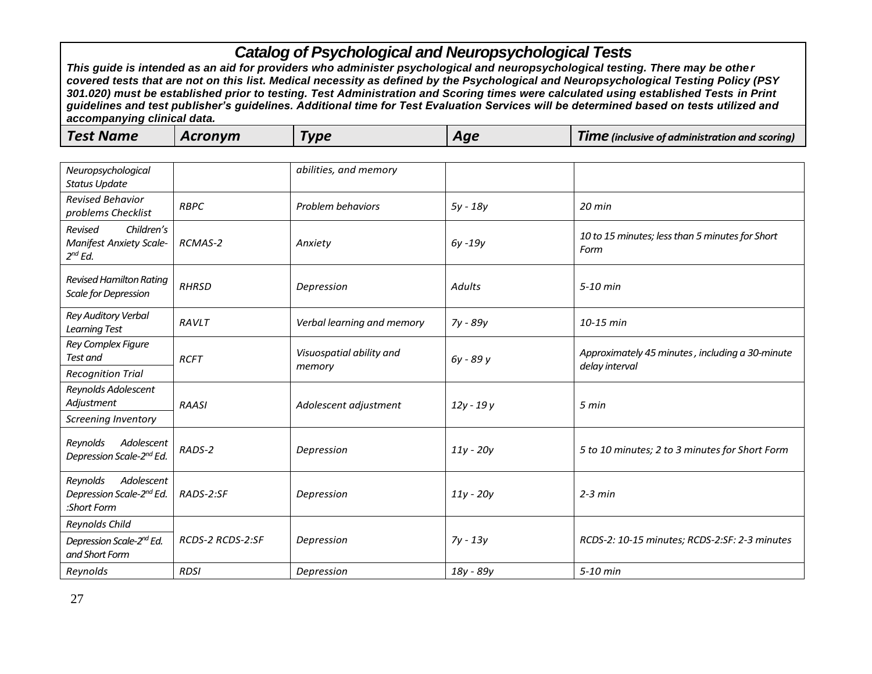| <b>Test Name</b><br>Acronym<br><b>VD6</b><br>Aqe<br><b>Time</b><br>of linclusive of administration and scoring t |  |
|------------------------------------------------------------------------------------------------------------------|--|
|------------------------------------------------------------------------------------------------------------------|--|

| Neuropsychological<br><b>Status Update</b>                              |                  | abilities, and memory              |               |                                                                   |
|-------------------------------------------------------------------------|------------------|------------------------------------|---------------|-------------------------------------------------------------------|
| <b>Revised Behavior</b><br>problems Checklist                           | <b>RBPC</b>      | Problem behaviors                  | 5y - 18y      | $20$ min                                                          |
| Children's<br>Revised<br><b>Manifest Anxiety Scale-</b><br>$2^{nd}$ Ed. | RCMAS-2          | Anxiety                            | 6y -19y       | 10 to 15 minutes; less than 5 minutes for Short<br>Form           |
| <b>Revised Hamilton Rating</b><br>Scale for Depression                  | <b>RHRSD</b>     | Depression                         | <b>Adults</b> | $5-10$ min                                                        |
| <b>Rey Auditory Verbal</b><br><b>Learning Test</b>                      | RAVLT            | Verbal learning and memory         | 7y - 89y      | 10-15 min                                                         |
| Rey Complex Figure<br>Test and                                          | <b>RCFT</b>      | Visuospatial ability and<br>memory | 6y - 89 y     | Approximately 45 minutes, including a 30-minute<br>delay interval |
| <b>Recognition Trial</b>                                                |                  |                                    |               |                                                                   |
| Reynolds Adolescent<br>Adjustment                                       | <b>RAASI</b>     | Adolescent adjustment              | $12y - 19y$   | 5 min                                                             |
| Screening Inventory                                                     |                  |                                    |               |                                                                   |
| Reynolds<br>Adolescent<br>Depression Scale-2nd Ed.                      | RADS-2           | Depression                         | $11y - 20y$   | 5 to 10 minutes; 2 to 3 minutes for Short Form                    |
| Reynolds<br>Adolescent<br>Depression Scale-2nd Ed.<br>:Short Form       | RADS-2:SF        | Depression                         | $11y - 20y$   | $2-3$ min                                                         |
| Reynolds Child                                                          |                  |                                    |               |                                                                   |
| Depression Scale-2 <sup>nd</sup> Ed.<br>and Short Form                  | RCDS-2 RCDS-2:SF | Depression                         | $7y - 13y$    | RCDS-2: 10-15 minutes; RCDS-2:SF: 2-3 minutes                     |
| Reynolds                                                                | <b>RDSI</b>      | Depression                         | 18y - 89y     | 5-10 min                                                          |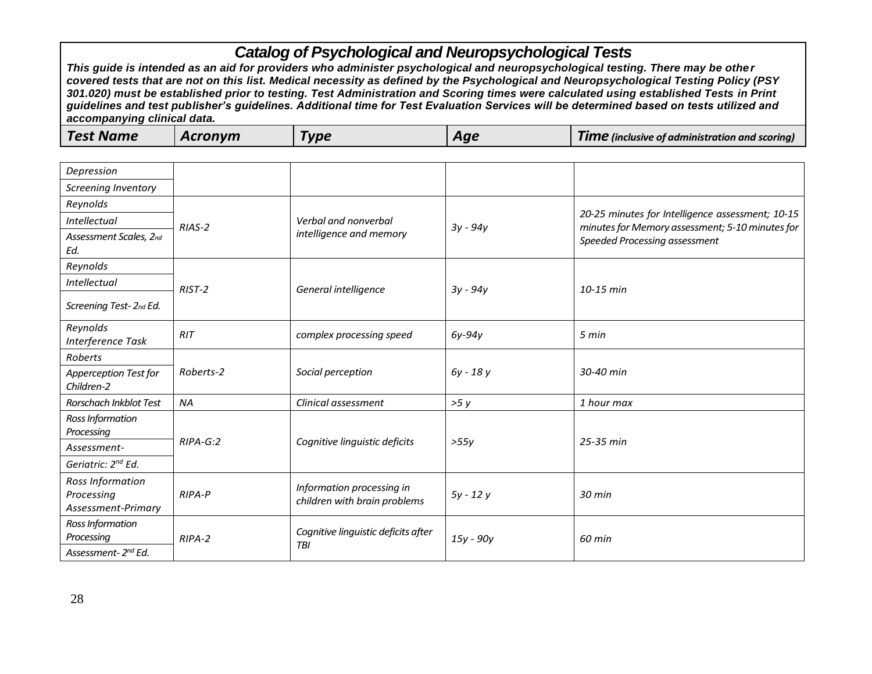| Depression                                           |            |                                                           |            |                                                                                                     |
|------------------------------------------------------|------------|-----------------------------------------------------------|------------|-----------------------------------------------------------------------------------------------------|
| Screening Inventory                                  |            |                                                           |            |                                                                                                     |
| Reynolds                                             |            |                                                           |            |                                                                                                     |
| Intellectual                                         | $RIAS-2$   | Verbal and nonverbal                                      | 3y - 94y   | 20-25 minutes for Intelligence assessment; 10-15<br>minutes for Memory assessment; 5-10 minutes for |
| Assessment Scales, 2nd<br>Ed.                        |            | intelligence and memory                                   |            | Speeded Processing assessment                                                                       |
| Reynolds                                             |            |                                                           |            |                                                                                                     |
| Intellectual                                         | $RIST-2$   | General intelligence                                      | $3y - 94y$ | 10-15 min                                                                                           |
| Screening Test- 2nd Ed.                              |            |                                                           |            |                                                                                                     |
| Reynolds<br>Interference Task                        | RIT        | complex processing speed                                  | $6y-94y$   | 5 min                                                                                               |
| Roberts                                              |            | Social perception                                         | 6y - 18y   | 30-40 min                                                                                           |
| Apperception Test for<br>Children-2                  | Roberts-2  |                                                           |            |                                                                                                     |
| Rorschach Inkblot Test                               | <b>NA</b>  | Clinical assessment                                       | >5y        | 1 hour max                                                                                          |
| Ross Information<br>Processing                       |            |                                                           |            |                                                                                                     |
| Assessment-                                          | $RIPA-G:2$ | Cognitive linguistic deficits                             | >55y       | 25-35 min                                                                                           |
| Geriatric: 2 <sup>nd</sup> Ed.                       |            |                                                           |            |                                                                                                     |
| Ross Information<br>Processing<br>Assessment-Primary | RIPA-P     | Information processing in<br>children with brain problems | $5y - 12y$ | 30 min                                                                                              |
| Ross Information<br>Processing<br>Assessment-2nd Ed. | $RIPA-2$   | Cognitive linguistic deficits after<br><b>TBI</b>         | 15y - 90y  | 60 min                                                                                              |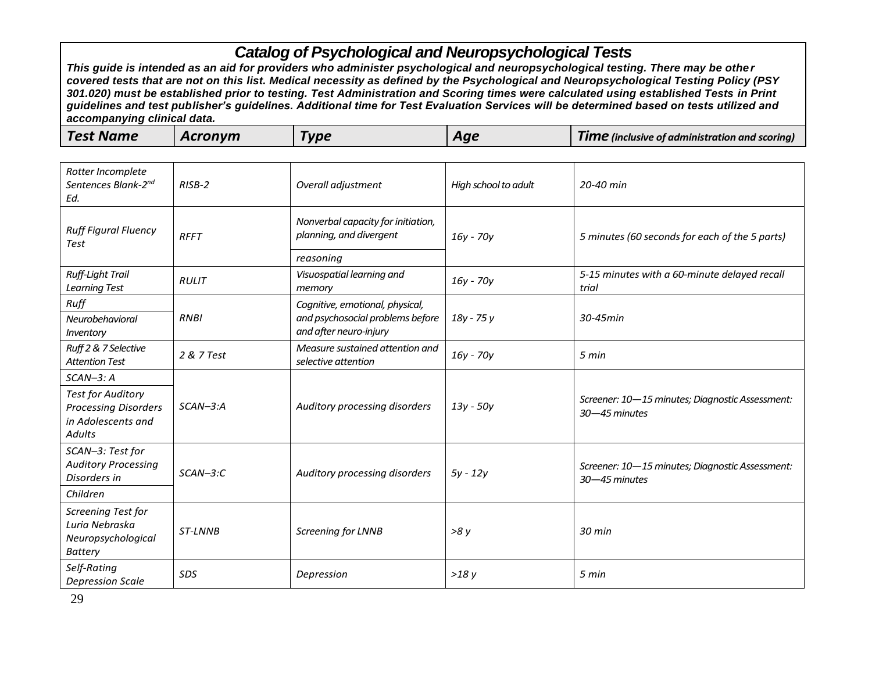| <b>Test Name</b> | Acronvm | <b>VDE</b> | Aqe | <b>TIME</b> (inclusive of administration and scoring) |
|------------------|---------|------------|-----|-------------------------------------------------------|
|------------------|---------|------------|-----|-------------------------------------------------------|

| Rotter Incomplete<br>Sentences Blank-2 <sup>nd</sup><br>Ed.                                    | $RISB-2$     | Overall adjustment                                            | High school to adult | 20-40 min                                                        |
|------------------------------------------------------------------------------------------------|--------------|---------------------------------------------------------------|----------------------|------------------------------------------------------------------|
| <b>Ruff Figural Fluency</b><br><b>Test</b>                                                     | <b>RFFT</b>  | Nonverbal capacity for initiation,<br>planning, and divergent | $16y - 70y$          | 5 minutes (60 seconds for each of the 5 parts)                   |
|                                                                                                |              | reasoning                                                     |                      |                                                                  |
| <b>Ruff-Light Trail</b><br><b>Learning Test</b>                                                | <b>RULIT</b> | Visuospatial learning and<br>memory                           | 16y - 70y            | 5-15 minutes with a 60-minute delayed recall<br>trial            |
| Ruff                                                                                           |              | Cognitive, emotional, physical,                               |                      |                                                                  |
| Neurobehavioral<br>Inventory                                                                   | <b>RNBI</b>  | and psychosocial problems before<br>and after neuro-injury    | 18y - 75 y           | 30-45min                                                         |
| Ruff 2 & 7 Selective<br><b>Attention Test</b>                                                  | 2 & 7 Test   | Measure sustained attention and<br>selective attention        | 16y - 70y            | 5 min                                                            |
| $SCAN-3: A$                                                                                    |              |                                                               |                      |                                                                  |
| <b>Test for Auditory</b><br><b>Processing Disorders</b><br>in Adolescents and<br><b>Adults</b> | $SCAN-3:A$   | Auditory processing disorders                                 | 13y - 50y            | Screener: 10-15 minutes; Diagnostic Assessment:<br>30-45 minutes |
| SCAN-3: Test for<br><b>Auditory Processing</b><br>Disorders in                                 | $SCAN-3:C$   | Auditory processing disorders                                 | $5y - 12y$           | Screener: 10-15 minutes; Diagnostic Assessment:<br>30-45 minutes |
| Children                                                                                       |              |                                                               |                      |                                                                  |
| Screening Test for<br>Luria Nebraska<br>Neuropsychological<br><b>Battery</b>                   | ST-LNNB      | Screening for LNNB                                            | >8y                  | $30$ min                                                         |
| Self-Rating<br><b>Depression Scale</b>                                                         | <b>SDS</b>   | Depression                                                    | >18y                 | 5 min                                                            |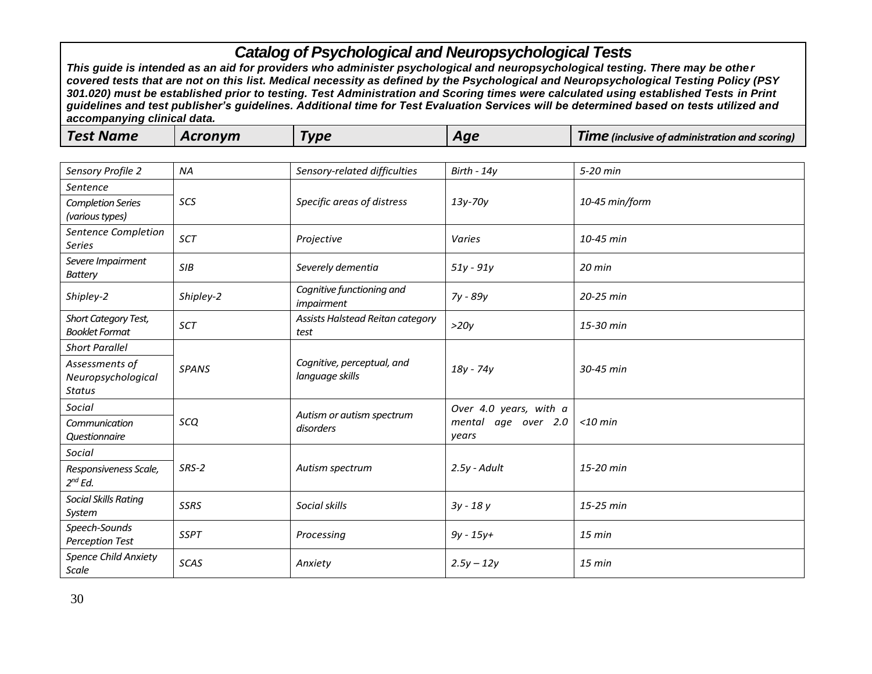| <b>Test Name</b><br>Acronvm<br>Гурє<br><b>TIME</b> (inclusive of administration and scoring)<br>Aqe |  |
|-----------------------------------------------------------------------------------------------------|--|
|-----------------------------------------------------------------------------------------------------|--|

| Sensory Profile 2                             | <b>NA</b>    | Sensory-related difficulties                  | Birth - $14y$                | 5-20 min       |
|-----------------------------------------------|--------------|-----------------------------------------------|------------------------------|----------------|
| Sentence                                      |              |                                               |                              |                |
| <b>Completion Series</b><br>(various types)   | SCS          | Specific areas of distress                    | 13y-70y                      | 10-45 min/form |
| Sentence Completion<br><b>Series</b>          | SCT          | Projective                                    | Varies                       | 10-45 min      |
| Severe Impairment<br><b>Battery</b>           | SIB          | Severely dementia                             | $51y - 91y$                  | $20$ min       |
| Shipley-2                                     | Shipley-2    | Cognitive functioning and<br>impairment       | 7y - 89y                     | 20-25 min      |
| Short Category Test,<br><b>Booklet Format</b> | SCT          | Assists Halstead Reitan category<br>test      | >20y                         | 15-30 min      |
| <b>Short Parallel</b>                         |              |                                               |                              |                |
| Assessments of<br>Neuropsychological          | <b>SPANS</b> | Cognitive, perceptual, and<br>language skills | 18y - 74y                    | 30-45 min      |
| <b>Status</b>                                 |              |                                               |                              |                |
| Social                                        |              | Autism or autism spectrum                     | Over 4.0 years, with a       |                |
| Communication<br><b>Questionnaire</b>         | sco          | disorders                                     | mental age over 2.0<br>years | $<$ 10 min     |
| Social                                        |              |                                               |                              |                |
| Responsiveness Scale,<br>$2^{nd}$ Ed.         | SRS-2        | Autism spectrum                               | $2.5y$ - Adult               | 15-20 min      |
| <b>Social Skills Rating</b><br>System         | <b>SSRS</b>  | Social skills                                 | $3y - 18y$                   | 15-25 min      |
| Speech-Sounds<br><b>Perception Test</b>       | <b>SSPT</b>  | Processing                                    | $9y - 15y +$                 | $15$ min       |
| <b>Spence Child Anxiety</b><br>Scale          | SCAS         | Anxiety                                       | $2.5y - 12y$                 | $15$ min       |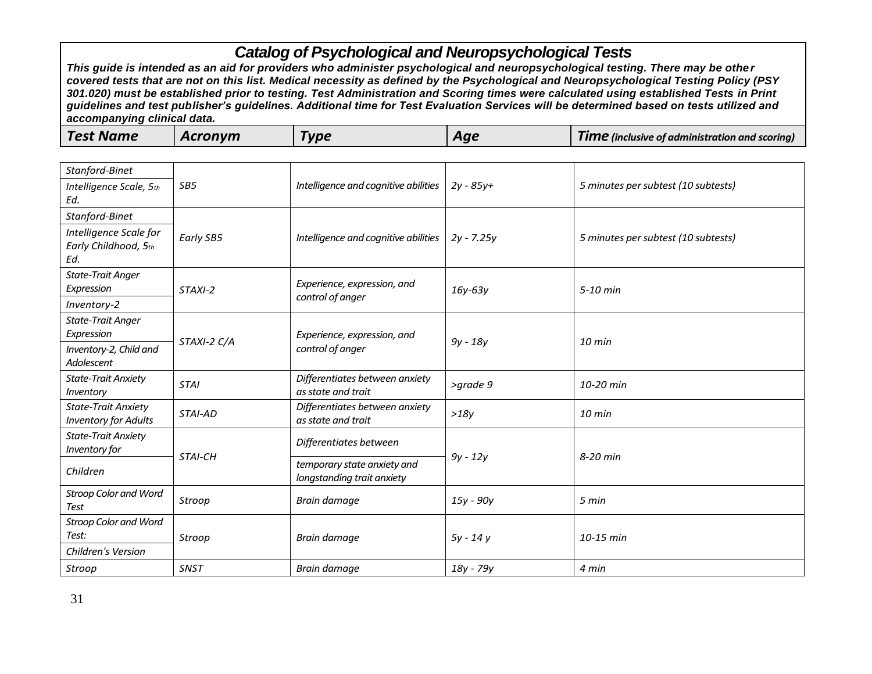| Stanford-Binet                                            |                 |                                                           |              |                                     |
|-----------------------------------------------------------|-----------------|-----------------------------------------------------------|--------------|-------------------------------------|
| Intelligence Scale, 5th                                   | SB <sub>5</sub> | Intelligence and cognitive abilities                      | $2y - 85y +$ | 5 minutes per subtest (10 subtests) |
| Ed.                                                       |                 |                                                           |              |                                     |
| Stanford-Binet                                            |                 |                                                           |              |                                     |
| Intelligence Scale for<br>Early Childhood, 5th<br>Ed.     | Early SB5       | Intelligence and cognitive abilities                      | $2y - 7.25y$ | 5 minutes per subtest (10 subtests) |
| <b>State-Trait Anger</b>                                  |                 |                                                           |              |                                     |
| Expression                                                | STAXI-2         | Experience, expression, and                               | $16y-63y$    | $5-10$ min                          |
| Inventory-2                                               |                 | control of anger                                          |              |                                     |
| <b>State-Trait Anger</b>                                  |                 |                                                           |              |                                     |
| Expression                                                | STAXI-2 C/A     | Experience, expression, and                               | $9y - 18y$   | $10 \text{ min}$                    |
| Inventory-2, Child and<br>Adolescent                      |                 | control of anger                                          |              |                                     |
| <b>State-Trait Anxiety</b><br>Inventory                   | <b>STAI</b>     | Differentiates between anxiety<br>as state and trait      | >grade 9     | 10-20 min                           |
| <b>State-Trait Anxiety</b><br><b>Inventory for Adults</b> | STAI-AD         | Differentiates between anxiety<br>as state and trait      | >18y         | $10$ min                            |
| <b>State-Trait Anxiety</b><br>Inventory for               |                 | Differentiates between                                    |              |                                     |
| Children                                                  | STAI-CH         | temporary state anxiety and<br>longstanding trait anxiety | $9y - 12y$   | 8-20 min                            |
| <b>Stroop Color and Word</b><br><b>Test</b>               | Stroop          | Brain damage                                              | 15y - 90y    | 5 min                               |
| <b>Stroop Color and Word</b>                              |                 |                                                           |              |                                     |
| Test:                                                     | Stroop          | Brain damage                                              | $5y - 14y$   | 10-15 min                           |
| Children's Version                                        |                 |                                                           |              |                                     |
| Stroop                                                    | <b>SNST</b>     | Brain damage                                              | 18y - 79y    | 4 min                               |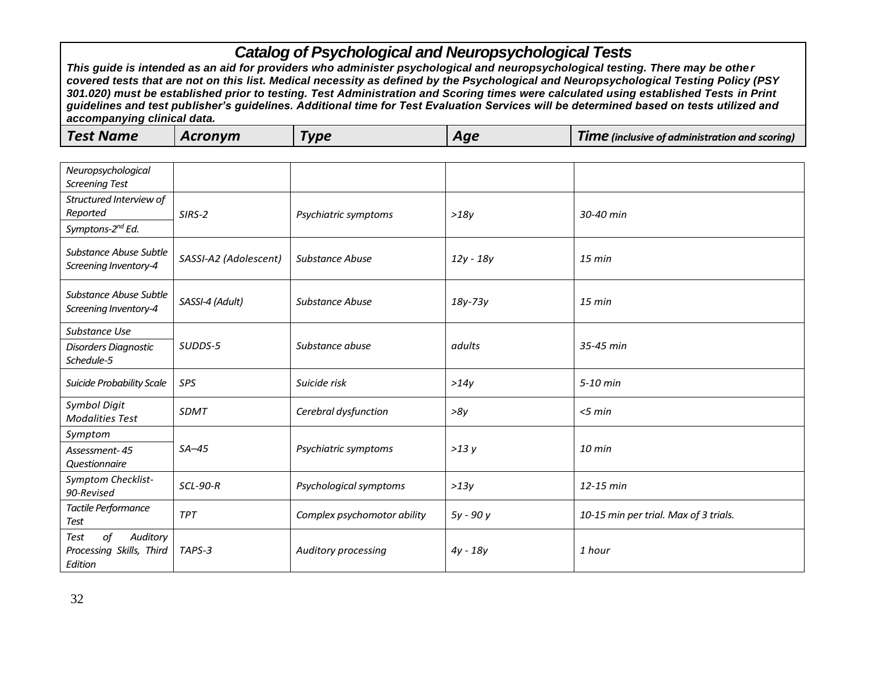| <b>Test Name</b><br>Acronvm<br><b>Type</b><br><b>Time</b> (inclusive of administration and scoring)<br>Aae |
|------------------------------------------------------------------------------------------------------------|
|------------------------------------------------------------------------------------------------------------|

| Neuropsychological<br><b>Screening Test</b>                   |                       |                             |             |                                       |
|---------------------------------------------------------------|-----------------------|-----------------------------|-------------|---------------------------------------|
| Structured Interview of<br>Reported<br>Symptons-2nd Ed.       | SIRS-2                | Psychiatric symptoms        | >18y        | 30-40 min                             |
| Substance Abuse Subtle<br>Screening Inventory-4               | SASSI-A2 (Adolescent) | <b>Substance Abuse</b>      | $12y - 18y$ | $15$ min                              |
| Substance Abuse Subtle<br>Screening Inventory-4               | SASSI-4 (Adult)       | <b>Substance Abuse</b>      | $18y-73y$   | $15 \text{ min}$                      |
| Substance Use                                                 |                       |                             |             |                                       |
| Disorders Diagnostic<br>Schedule-5                            | SUDDS-5               | Substance abuse             | adults      | 35-45 min                             |
| <b>Suicide Probability Scale</b>                              | SPS                   | Suicide risk                | >14y        | 5-10 min                              |
| <b>Symbol Digit</b><br><b>Modalities Test</b>                 | <b>SDMT</b>           | Cerebral dysfunction        | >8y         | $<$ 5 min                             |
| Symptom                                                       |                       |                             |             |                                       |
| Assessment-45<br>Questionnaire                                | $SA-45$               | Psychiatric symptoms        | >13y        | 10 min                                |
| Symptom Checklist-<br>90-Revised                              | <b>SCL-90-R</b>       | Psychological symptoms      | >13y        | 12-15 min                             |
| Tactile Performance<br>Test                                   | <b>TPT</b>            | Complex psychomotor ability | 5y - 90 y   | 10-15 min per trial. Max of 3 trials. |
| of<br>Auditory<br>Test<br>Processing Skills, Third<br>Edition | TAPS-3                | Auditory processing         | $4y - 18y$  | 1 hour                                |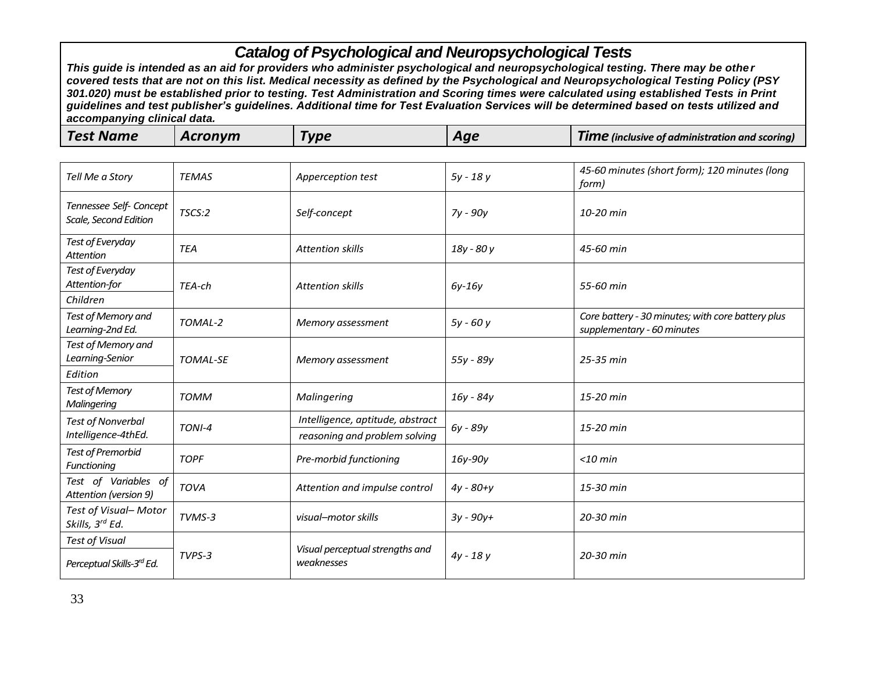| <b>Test Name</b> | Acronvm | Type | Aqe | Time<br>! (inclusive of administration and scoring) |
|------------------|---------|------|-----|-----------------------------------------------------|
|------------------|---------|------|-----|-----------------------------------------------------|

| Tell Me a Story                                  | <b>TEMAS</b>    | Apperception test                                                 | $5y - 18y$    | 45-60 minutes (short form); 120 minutes (long<br>form)                          |
|--------------------------------------------------|-----------------|-------------------------------------------------------------------|---------------|---------------------------------------------------------------------------------|
| Tennessee Self- Concept<br>Scale, Second Edition | TSCS:2          | Self-concept                                                      | 7y - 90y      | 10-20 min                                                                       |
| Test of Everyday<br><b>Attention</b>             | <b>TEA</b>      | <b>Attention skills</b>                                           | 18y - 80 y    | 45-60 min                                                                       |
| Test of Everyday<br>Attention-for<br>Children    | TEA-ch          | <b>Attention skills</b>                                           | $6y-16y$      | 55-60 min                                                                       |
| Test of Memory and<br>Learning-2nd Ed.           | TOMAL-2         | Memory assessment                                                 | $5y - 60y$    | Core battery - 30 minutes; with core battery plus<br>supplementary - 60 minutes |
| Test of Memory and<br>Learning-Senior<br>Edition | <b>TOMAL-SE</b> | Memory assessment                                                 | 55y - 89y     | 25-35 min                                                                       |
| Test of Memory<br>Malingering                    | <b>TOMM</b>     | Malingering                                                       | 16y - 84y     | 15-20 min                                                                       |
| <b>Test of Nonverbal</b><br>Intelligence-4thEd.  | TONI-4          | Intelligence, aptitude, abstract<br>reasoning and problem solving | 6y - 89y      | 15-20 min                                                                       |
| <b>Test of Premorbid</b><br>Functioning          | <b>TOPF</b>     | Pre-morbid functioning                                            | 16y-90y       | $<$ 10 min                                                                      |
| Test of Variables of<br>Attention (version 9)    | <b>TOVA</b>     | Attention and impulse control                                     | $4y - 80 + y$ | 15-30 min                                                                       |
| Test of Visual-Motor<br>Skills, 3rd Ed.          | TVMS-3          | visual-motor skills                                               | $3y - 90y +$  | 20-30 min                                                                       |
| <b>Test of Visual</b>                            |                 |                                                                   |               |                                                                                 |
| Perceptual Skills-3rd Ed.                        | TVPS-3          | Visual perceptual strengths and<br>weaknesses                     | $4y - 18y$    | 20-30 min                                                                       |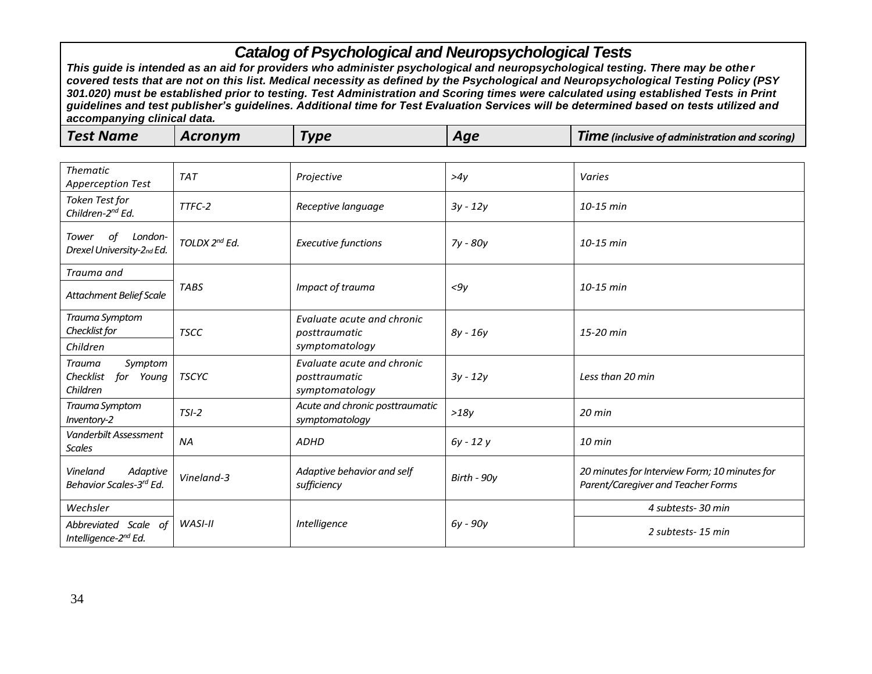| <b>Test Name</b> | Acronym | Гуре | Aae | <b>TIME</b> (inclusive of administration and scoring) |
|------------------|---------|------|-----|-------------------------------------------------------|
|------------------|---------|------|-----|-------------------------------------------------------|

| <b>Thematic</b><br><b>Apperception Test</b>             | <b>TAT</b>    | Projective                                                    | >4y         | Varies                                                                              |
|---------------------------------------------------------|---------------|---------------------------------------------------------------|-------------|-------------------------------------------------------------------------------------|
| Token Test for<br>Children-2 <sup>nd</sup> Ed.          | TTFC-2        | Receptive language                                            | $3y - 12y$  | 10-15 min                                                                           |
| of<br>London-<br>Tower<br>Drexel University-2nd Ed.     | TOLDX 2nd Ed. | <b>Executive functions</b>                                    | 7y - 80y    | 10-15 min                                                                           |
| Trauma and                                              |               |                                                               |             |                                                                                     |
| <b>Attachment Belief Scale</b>                          | <b>TABS</b>   | Impact of trauma                                              | $<$ 9 $v$   | 10-15 min                                                                           |
| Trauma Symptom<br>Checklist for                         | <b>TSCC</b>   | Evaluate acute and chronic<br>posttraumatic                   | $8y - 16y$  | 15-20 min                                                                           |
| Children                                                |               | symptomatology                                                |             |                                                                                     |
| Symptom<br>Trauma<br>Checklist<br>for Young<br>Children | <b>TSCYC</b>  | Evaluate acute and chronic<br>posttraumatic<br>symptomatology | $3y - 12y$  | Less than 20 min                                                                    |
| Trauma Symptom<br>Inventory-2                           | $TSI-2$       | Acute and chronic posttraumatic<br>symptomatology             | >18y        | $20$ min                                                                            |
| Vanderbilt Assessment<br><b>Scales</b>                  | <b>NA</b>     | <b>ADHD</b>                                                   | $6y - 12y$  | $10 \text{ min}$                                                                    |
| Vineland<br>Adaptive<br>Behavior Scales-3rd Ed.         | Vineland-3    | Adaptive behavior and self<br>sufficiency                     | Birth - 90y | 20 minutes for Interview Form; 10 minutes for<br>Parent/Caregiver and Teacher Forms |
| Wechsler                                                |               |                                                               |             | 4 subtests-30 min                                                                   |
| Abbreviated Scale of<br>Intelligence-2nd Ed.            | WASI-II       | Intelligence                                                  | 6y - 90y    | 2 subtests-15 min                                                                   |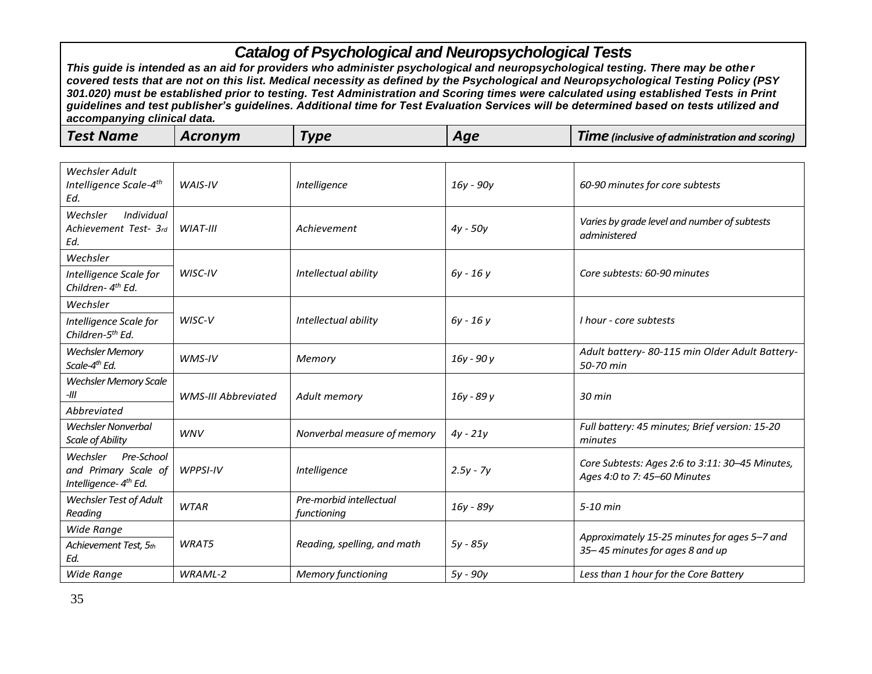| <b>Wechsler Adult</b><br>Intelligence Scale-4 <sup>th</sup><br>Ed.                  | WAIS-IV                    | Intelligence                           | 16y - 90y   | 60-90 minutes for core subtests                                                 |
|-------------------------------------------------------------------------------------|----------------------------|----------------------------------------|-------------|---------------------------------------------------------------------------------|
| Individual<br>Wechsler<br>Achievement Test- 3rd<br>Ed.                              | WIAT-III                   | Achievement                            | $4y - 50y$  | Varies by grade level and number of subtests<br>administered                    |
| Wechsler                                                                            |                            |                                        |             |                                                                                 |
| Intelligence Scale for<br>Children- 4 <sup>th</sup> Ed.                             | WISC-IV                    | Intellectual ability                   | 6y - 16 y   | Core subtests: 60-90 minutes                                                    |
| Wechsler                                                                            |                            |                                        |             |                                                                                 |
| Intelligence Scale for<br>Children-5th Ed.                                          | WISC-V                     | Intellectual ability                   | 6y - 16 y   | I hour - core subtests                                                          |
| <b>Wechsler Memory</b><br>Scale-4 <sup>th</sup> Ed.                                 | WMS-IV                     | Memory                                 | 16y - 90y   | Adult battery- 80-115 min Older Adult Battery-<br>50-70 min                     |
| <b>Wechsler Memory Scale</b><br>-111                                                | <b>WMS-III Abbreviated</b> | Adult memory                           | 16y - 89 y  | 30 min                                                                          |
| Abbreviated                                                                         |                            |                                        |             |                                                                                 |
| <b>Wechsler Nonverbal</b><br>Scale of Ability                                       | <b>WNV</b>                 | Nonverbal measure of memory            | $4y - 21y$  | Full battery: 45 minutes; Brief version: 15-20<br>minutes                       |
| Pre-School<br>Wechsler<br>and Primary Scale of<br>Intelligence- 4 <sup>th</sup> Ed. | WPPSI-IV                   | Intelligence                           | $2.5y - 7y$ | Core Subtests: Ages 2:6 to 3:11: 30-45 Minutes,<br>Ages 4:0 to 7: 45-60 Minutes |
| <b>Wechsler Test of Adult</b><br>Reading                                            | <b>WTAR</b>                | Pre-morbid intellectual<br>functioning | 16y - 89y   | 5-10 min                                                                        |
| Wide Range<br>Achievement Test, 5th<br>Ed.                                          | WRAT5                      | Reading, spelling, and math            | $5y - 85y$  | Approximately 15-25 minutes for ages 5-7 and<br>35-45 minutes for ages 8 and up |
| Wide Range                                                                          | WRAML-2                    | <b>Memory functioning</b>              | 5y - 90y    | Less than 1 hour for the Core Battery                                           |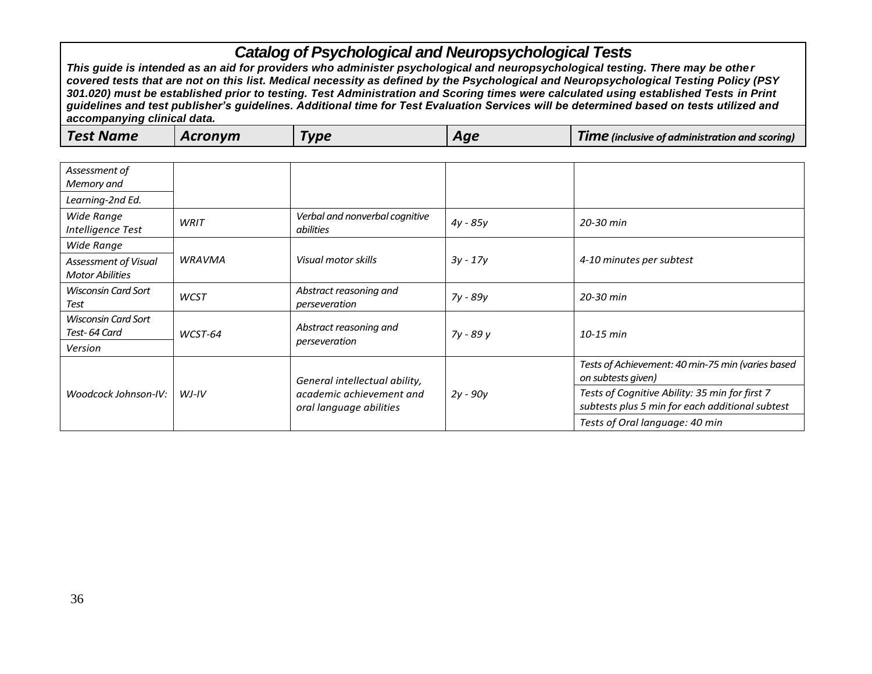| Test Name<br><b>IIN</b><br>Tim<br>Aae<br>? (inclusive of administration and scoring)<br>-- |
|--------------------------------------------------------------------------------------------|
|--------------------------------------------------------------------------------------------|

| Assessment of<br>Memory and                    |               |                                                                                      |            |                                                                                                   |
|------------------------------------------------|---------------|--------------------------------------------------------------------------------------|------------|---------------------------------------------------------------------------------------------------|
| Learning-2nd Ed.                               |               |                                                                                      |            |                                                                                                   |
| <b>Wide Range</b><br>Intelligence Test         | WRIT          | Verbal and nonverbal cognitive<br>abilities                                          | $4y - 85y$ | 20-30 min                                                                                         |
| Wide Range                                     |               |                                                                                      |            |                                                                                                   |
| Assessment of Visual<br><b>Motor Abilities</b> | <b>WRAVMA</b> | Visual motor skills                                                                  | $3y - 17y$ | 4-10 minutes per subtest                                                                          |
| <b>Wisconsin Card Sort</b><br>Test             | <b>WCST</b>   | Abstract reasoning and<br>perseveration                                              | 7y - 89y   | 20-30 min                                                                                         |
| Wisconsin Card Sort<br>Test-64 Card            | WCST-64       | Abstract reasoning and<br>perseveration                                              | 7y - 89 y  | $10-15$ min                                                                                       |
| Version                                        |               |                                                                                      |            |                                                                                                   |
| Woodcock Johnson-IV:                           | $WJ-IV$       | General intellectual ability,<br>academic achievement and<br>oral language abilities | $2y - 90y$ | Tests of Achievement: 40 min-75 min (varies based<br>on subtests given)                           |
|                                                |               |                                                                                      |            | Tests of Cognitive Ability: 35 min for first 7<br>subtests plus 5 min for each additional subtest |
|                                                |               |                                                                                      |            | Tests of Oral language: 40 min                                                                    |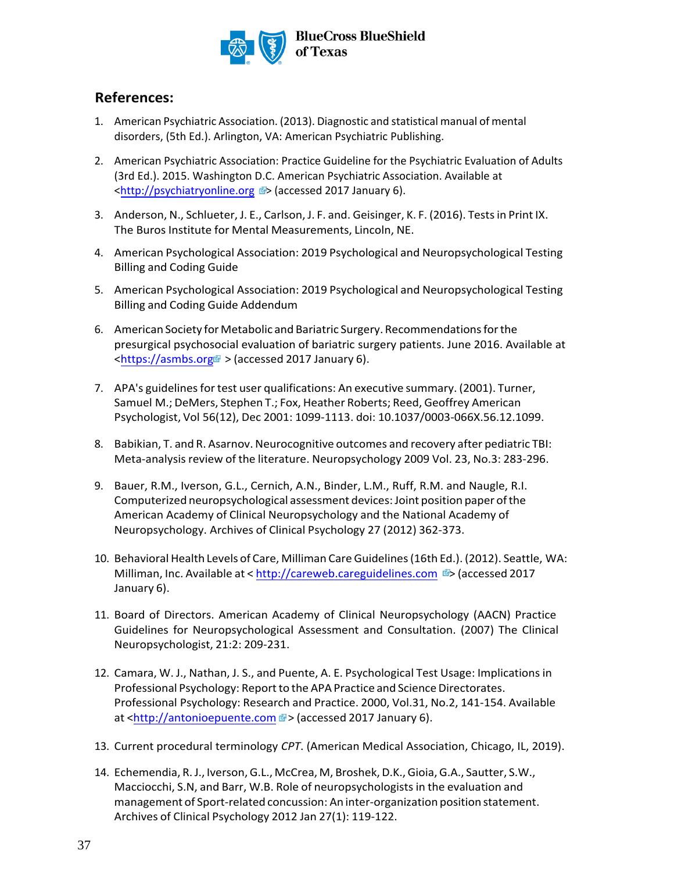

#### **References:**

- 1. American Psychiatric Association. (2013). Diagnostic and statistical manual of mental disorders, (5th Ed.). Arlington, VA: American Psychiatric Publishing.
- 2. American Psychiatric Association: Practice Guideline for the Psychiatric Evaluation of Adults (3rd Ed.). 2015. Washington D.C. American Psychiatric Association. Available at [<http://psychiatryonline.org >](http://psychiatryonline.org/) (accessed 2017 January 6).
- 3. Anderson, N., Schlueter, J. E., Carlson, J. F. and. Geisinger, K. F. (2016). Tests in Print IX. The Buros Institute for Mental Measurements, Lincoln, NE.
- 4. American Psychological Association: 2019 Psychological and Neuropsychological Testing Billing and Coding Guide
- 5. American Psychological Association: 2019 Psychological and Neuropsychological Testing Billing and Coding Guide Addendum
- 6. American Society for Metabolic and Bariatric Surgery. Recommendations for the presurgical psychosocial evaluation of bariatric surgery patients. June 2016. Available at  $\lt$ https://asmbs.org > (accessed 2017 January 6).
- 7. APA's guidelines for test user qualifications: An executive summary. (2001). Turner, Samuel M.; DeMers, Stephen T.; Fox, Heather Roberts; Reed, Geoffrey American Psychologist, Vol 56(12), Dec 2001: 1099-1113. doi: 10.1037/0003-066X.56.12.1099.
- 8. Babikian, T. and R. Asarnov. Neurocognitive outcomes and recovery after pediatric TBI: Meta-analysis review of the literature. Neuropsychology 2009 Vol. 23, No.3: 283-296.
- 9. Bauer, R.M., Iverson, G.L., Cernich, A.N., Binder, L.M., Ruff, R.M. and Naugle, R.I. Computerized neuropsychological assessment devices: Joint position paper of the American Academy of Clinical Neuropsychology and the National Academy of Neuropsychology. Archives of Clinical Psychology 27 (2012) 362-373.
- 10. Behavioral Health Levels of Care, Milliman Care Guidelines (16th Ed.). (2012). Seattle, WA: Milliman, Inc. Available at < http://careweb.careguidelines.com  $\blacktriangleright$  (accessed 2017 January 6).
- 11. Board of Directors. American Academy of Clinical Neuropsychology (AACN) Practice Guidelines for Neuropsychological Assessment and Consultation. (2007) The Clinical [Neuropsychologist, 21:2: 20](http://antonioepuente.com/)9-231.
- 12. Camara, W. J., Nathan, J. S., and Puente, A. E. Psychological Test Usage: Implications in Professional Psychology: Report to the APA Practice and Science Directorates. Professional Psychology: Research and Practice. 2000, Vol.31, No.2, 141-154. Available at <http://antonioepuente.com ?> (accessed 2017 January 6).
- 13. Current procedural terminology *CPT*. (American Medical Association, Chicago, IL, 2019).
- 14. Echemendia, R. J., Iverson, G.L., McCrea, M, Broshek, D.K., Gioia, G.A., Sautter, S.W., Macciocchi, S.N, and Barr, W.B. Role of neuropsychologists in the evaluation and management of Sport-related concussion: An inter-organization position statement. Archives of Clinical Psychology 2012 Jan 27(1): 119-122.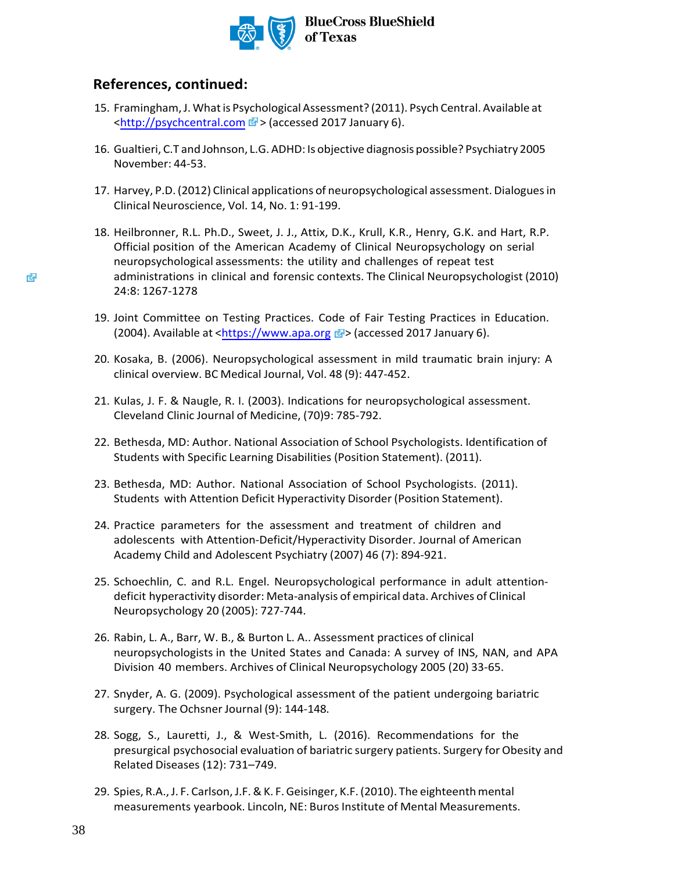

#### **References, continued:**

- 15. Framingham, J. What is Psychological Assessment? (2011). Psych Central. Available at [<http://psychcentral.com >](http://psychcentral.com/) (accessed 2017 January 6).
- 16. Gualtieri, C.T and Johnson, L.G. ADHD: Is objective diagnosis possible? Psychiatry 2005 November: 44-53.
- 17. Harvey, P.D. (2012) Clinical applications of neuropsychological assessment. Dialogues in Clinical Neuroscience, Vol. 14, No. 1: 91-199.
- 18. Heilbronner, R.L. Ph.D., Sweet, J. J., Attix, D.K., Krull, K.R., Henry, G.K. and Hart, R.P. Official position of the American Academy of Clinical Neuropsychology on serial neuropsychological assessments: the utility and challenges of repeat test administrations in clinical and forensic contexts. The Clinical Neuropsychologist (2010) 24:8: 1267-1278
- 19. Joint Committee on Testing Practices. Code of Fair Testing Practices in Education. (2004). Available at <https://www.apa.org  $\mathbb{F}$ > (accessed 2017 January 6).
- 20. Kosaka, B. (2006). Neuropsychological assessment in mild traumatic brain injury: A clinical overview. BC Medical Journal, Vol. 48 (9): 447-452.
- 21. Kulas, J. F. & Naugle, R. I. (2003). Indications for neuropsychological assessment. Cleveland Clinic Journal of Medicine, (70)9: 785-792.
- 22. Bethesda, MD: Author. National Association of School Psychologists. Identification of Students with Specific Learning Disabilities (Position Statement). (2011).
- 23. Bethesda, MD: Author. National Association of School Psychologists. (2011). Students with Attention Deficit Hyperactivity Disorder (Position Statement).
- 24. Practice parameters for the assessment and treatment of children and adolescents with Attention-Deficit/Hyperactivity Disorder. Journal of American Academy Child and Adolescent Psychiatry (2007) 46 (7): 894-921.
- 25. Schoechlin, C. and R.L. Engel. Neuropsychological performance in adult attentiondeficit hyperactivity disorder: Meta-analysis of empirical data. Archives of Clinical Neuropsychology 20 (2005): 727-744.
- 26. Rabin, L. A., Barr, W. B., & Burton L. A.. Assessment practices of clinical neuropsychologists in the United States and Canada: A survey of INS, NAN, and APA Division 40 members. Archives of Clinical Neuropsychology 2005 (20) 33-65.
- 27. Snyder, A. G. (2009). Psychological assessment of the patient undergoing bariatric surgery. The Ochsner Journal (9): 144-148.
- 28. Sogg, S., Lauretti, J., & West-Smith, L. (2016). Recommendations for the presurgical psychosocial evaluation of bariatric surgery patients. Surgery for Obesity and Related Diseases (12): 731–749.
- 29. Spies, R.A., J. F. Carlson, J.F. & K. F. Geisinger, K.F. (2010). The eighteenth mental measurements yearbook. Lincoln, NE: Buros Institute of Mental Measurements.